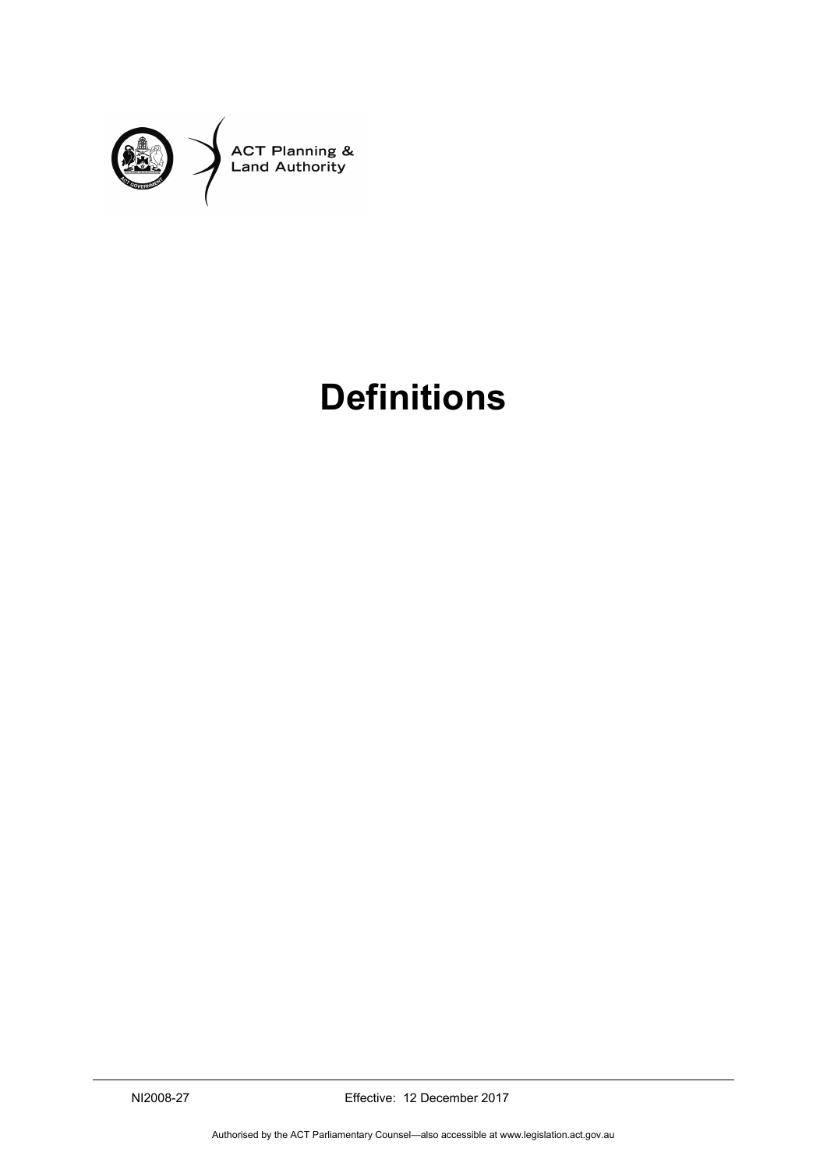

# **Definitions**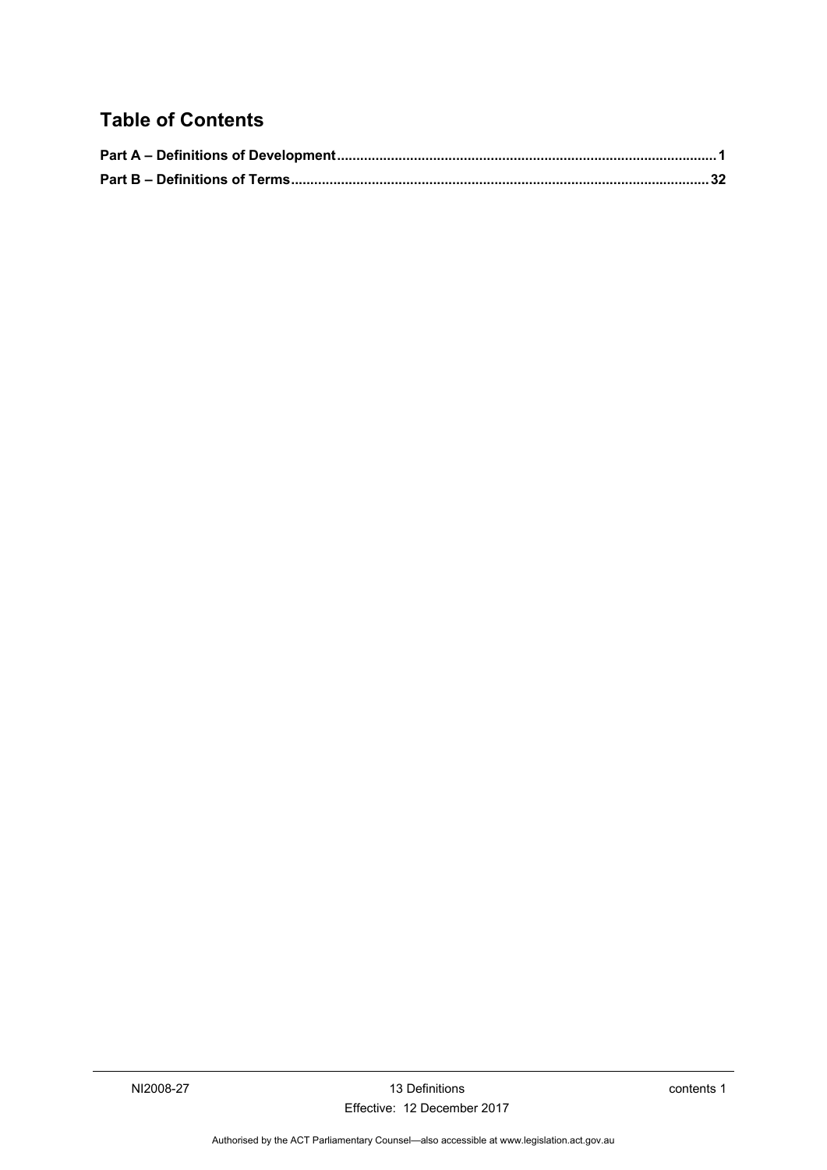### **Table of Contents**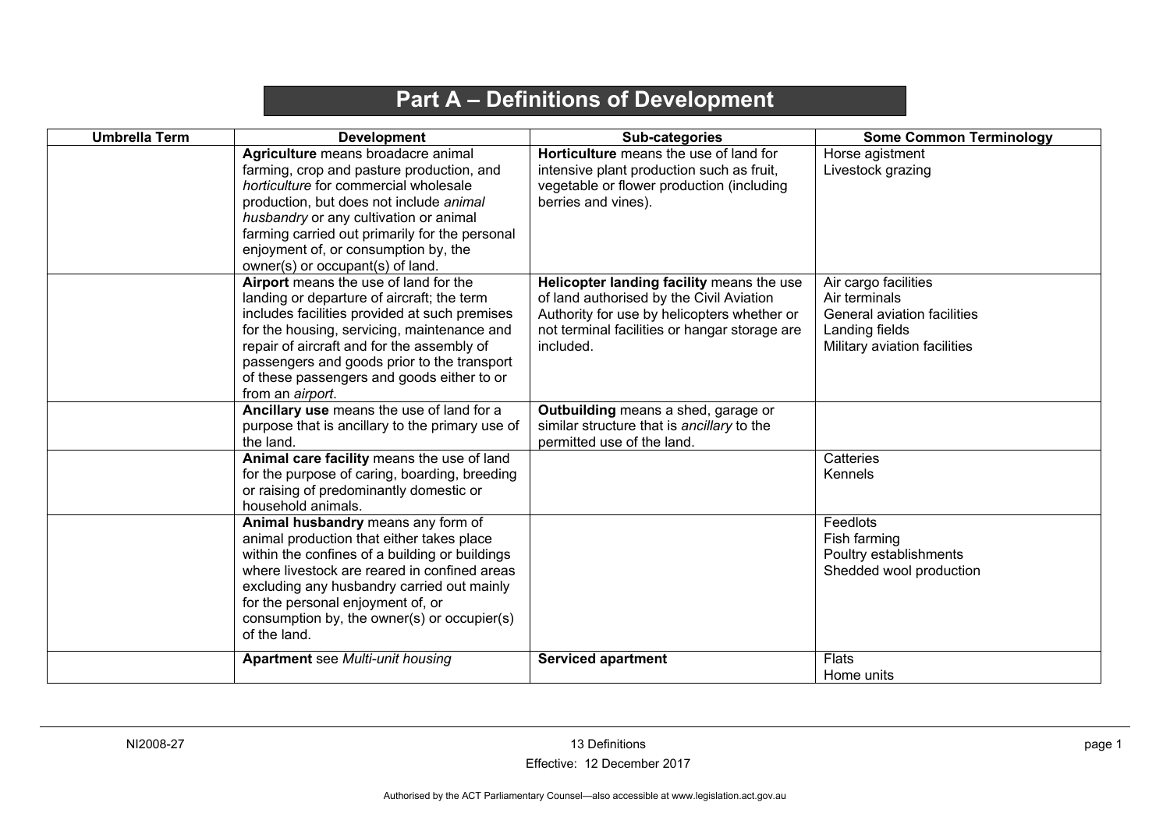# **Part A – Definitions of Development**

<span id="page-4-0"></span>

| <b>Umbrella Term</b> | <b>Development</b>                                                                                                                                                                                                                                                                                                                                 | Sub-categories                                                                                                                                                                                     | <b>Some Common Terminology</b>                                                                                         |
|----------------------|----------------------------------------------------------------------------------------------------------------------------------------------------------------------------------------------------------------------------------------------------------------------------------------------------------------------------------------------------|----------------------------------------------------------------------------------------------------------------------------------------------------------------------------------------------------|------------------------------------------------------------------------------------------------------------------------|
|                      | Agriculture means broadacre animal<br>farming, crop and pasture production, and<br>horticulture for commercial wholesale<br>production, but does not include animal<br>husbandry or any cultivation or animal<br>farming carried out primarily for the personal<br>enjoyment of, or consumption by, the<br>owner(s) or occupant(s) of land.        | Horticulture means the use of land for<br>intensive plant production such as fruit,<br>vegetable or flower production (including<br>berries and vines).                                            | Horse agistment<br>Livestock grazing                                                                                   |
|                      | Airport means the use of land for the<br>landing or departure of aircraft; the term<br>includes facilities provided at such premises<br>for the housing, servicing, maintenance and<br>repair of aircraft and for the assembly of<br>passengers and goods prior to the transport<br>of these passengers and goods either to or<br>from an airport. | Helicopter landing facility means the use<br>of land authorised by the Civil Aviation<br>Authority for use by helicopters whether or<br>not terminal facilities or hangar storage are<br>included. | Air cargo facilities<br>Air terminals<br>General aviation facilities<br>Landing fields<br>Military aviation facilities |
|                      | Ancillary use means the use of land for a<br>purpose that is ancillary to the primary use of<br>the land.                                                                                                                                                                                                                                          | Outbuilding means a shed, garage or<br>similar structure that is ancillary to the<br>permitted use of the land.                                                                                    |                                                                                                                        |
|                      | Animal care facility means the use of land<br>for the purpose of caring, boarding, breeding<br>or raising of predominantly domestic or<br>household animals.                                                                                                                                                                                       |                                                                                                                                                                                                    | Catteries<br>Kennels                                                                                                   |
|                      | Animal husbandry means any form of<br>animal production that either takes place<br>within the confines of a building or buildings<br>where livestock are reared in confined areas<br>excluding any husbandry carried out mainly<br>for the personal enjoyment of, or<br>consumption by, the owner(s) or occupier(s)<br>of the land.                |                                                                                                                                                                                                    | Feedlots<br>Fish farming<br>Poultry establishments<br>Shedded wool production                                          |
|                      | <b>Apartment</b> see Multi-unit housing                                                                                                                                                                                                                                                                                                            | <b>Serviced apartment</b>                                                                                                                                                                          | Flats<br>Home units                                                                                                    |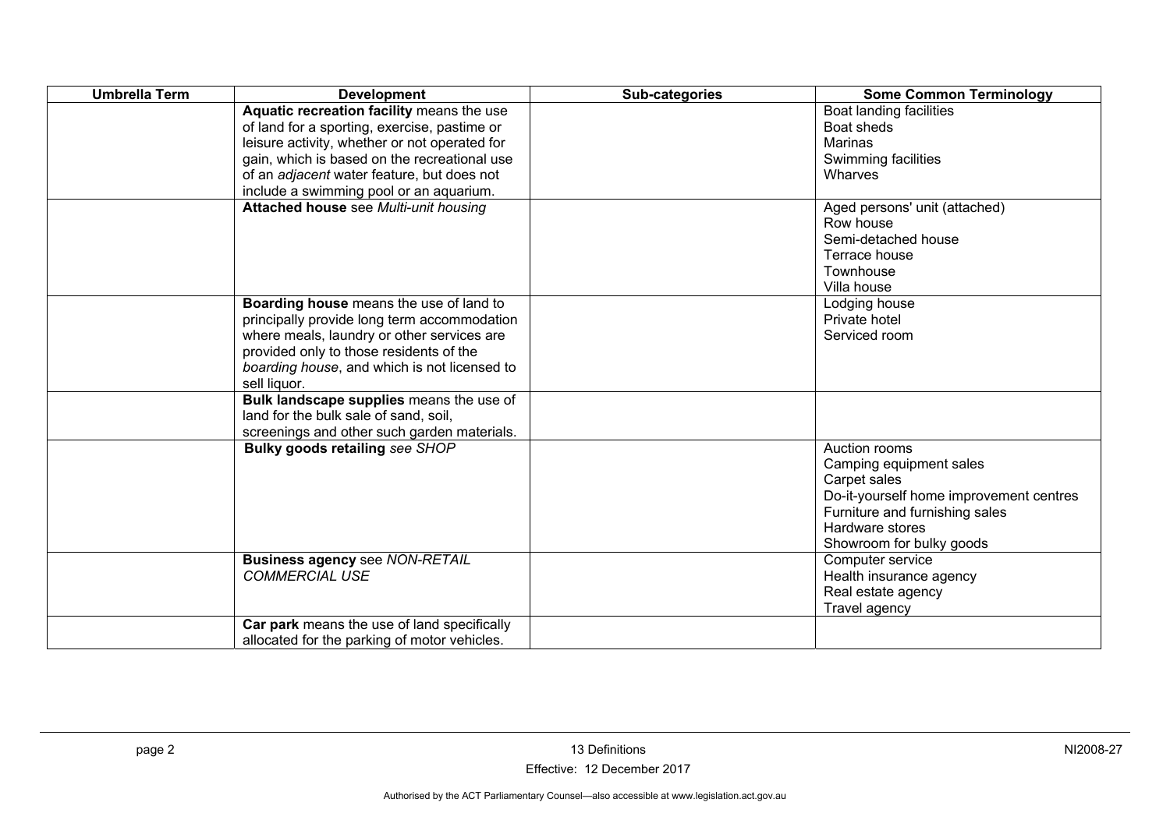| <b>Umbrella Term</b> | <b>Development</b>                            | Sub-categories | <b>Some Common Terminology</b>          |
|----------------------|-----------------------------------------------|----------------|-----------------------------------------|
|                      | Aquatic recreation facility means the use     |                | Boat landing facilities                 |
|                      | of land for a sporting, exercise, pastime or  |                | Boat sheds                              |
|                      | leisure activity, whether or not operated for |                | Marinas                                 |
|                      | gain, which is based on the recreational use  |                | Swimming facilities                     |
|                      | of an adjacent water feature, but does not    |                | Wharves                                 |
|                      | include a swimming pool or an aquarium.       |                |                                         |
|                      | Attached house see Multi-unit housing         |                | Aged persons' unit (attached)           |
|                      |                                               |                | Row house                               |
|                      |                                               |                | Semi-detached house                     |
|                      |                                               |                | Terrace house                           |
|                      |                                               |                | Townhouse                               |
|                      |                                               |                | Villa house                             |
|                      | Boarding house means the use of land to       |                | Lodging house                           |
|                      | principally provide long term accommodation   |                | Private hotel                           |
|                      | where meals, laundry or other services are    |                | Serviced room                           |
|                      | provided only to those residents of the       |                |                                         |
|                      | boarding house, and which is not licensed to  |                |                                         |
|                      | sell liquor.                                  |                |                                         |
|                      | Bulk landscape supplies means the use of      |                |                                         |
|                      | land for the bulk sale of sand, soil,         |                |                                         |
|                      | screenings and other such garden materials.   |                |                                         |
|                      | Bulky goods retailing see SHOP                |                | Auction rooms                           |
|                      |                                               |                | Camping equipment sales                 |
|                      |                                               |                | Carpet sales                            |
|                      |                                               |                | Do-it-yourself home improvement centres |
|                      |                                               |                | Furniture and furnishing sales          |
|                      |                                               |                | Hardware stores                         |
|                      |                                               |                | Showroom for bulky goods                |
|                      | <b>Business agency see NON-RETAIL</b>         |                | Computer service                        |
|                      | <b>COMMERCIAL USE</b>                         |                | Health insurance agency                 |
|                      |                                               |                | Real estate agency                      |
|                      |                                               |                | Travel agency                           |
|                      | Car park means the use of land specifically   |                |                                         |
|                      | allocated for the parking of motor vehicles.  |                |                                         |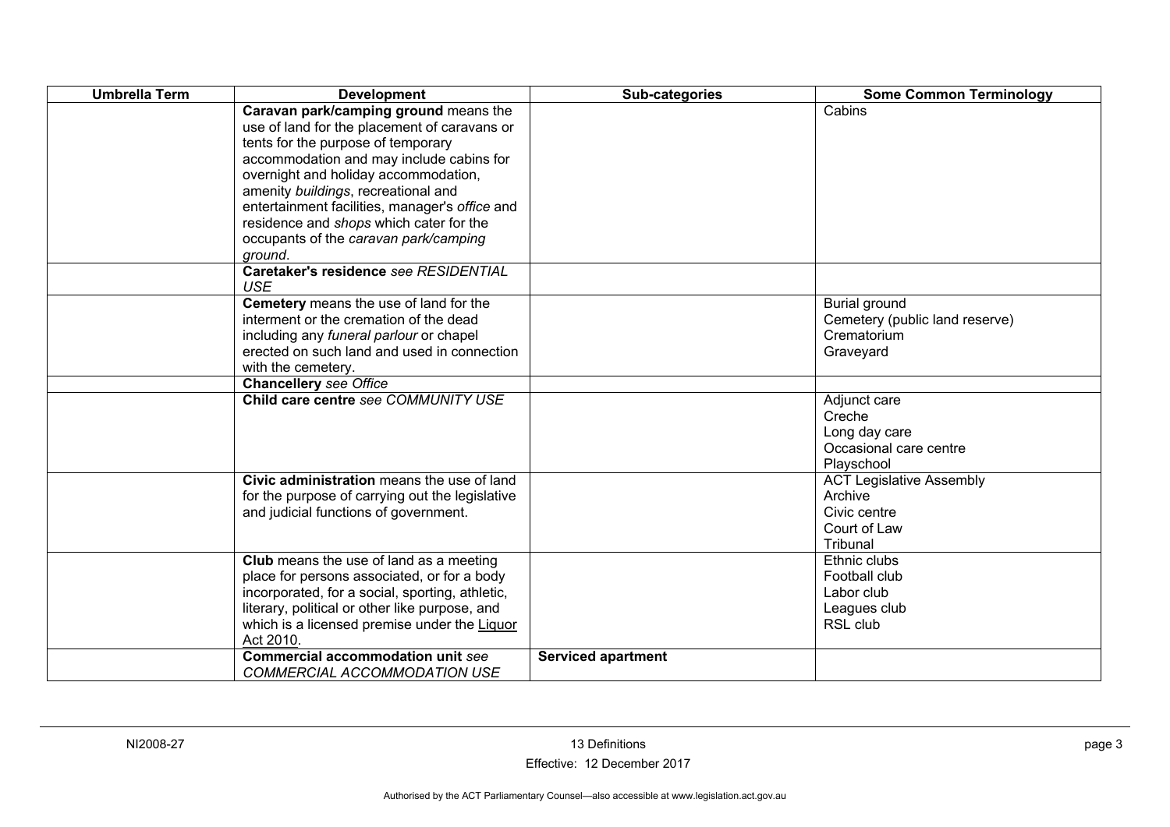| <b>Umbrella Term</b> | <b>Development</b>                                                                                                                                                                                                                                                                                                                                                                                      | Sub-categories            | <b>Some Common Terminology</b>                                                         |
|----------------------|---------------------------------------------------------------------------------------------------------------------------------------------------------------------------------------------------------------------------------------------------------------------------------------------------------------------------------------------------------------------------------------------------------|---------------------------|----------------------------------------------------------------------------------------|
|                      | Caravan park/camping ground means the<br>use of land for the placement of caravans or<br>tents for the purpose of temporary<br>accommodation and may include cabins for<br>overnight and holiday accommodation,<br>amenity buildings, recreational and<br>entertainment facilities, manager's office and<br>residence and shops which cater for the<br>occupants of the caravan park/camping<br>ground. |                           | Cabins                                                                                 |
|                      | Caretaker's residence see RESIDENTIAL<br><b>USE</b>                                                                                                                                                                                                                                                                                                                                                     |                           |                                                                                        |
|                      | Cemetery means the use of land for the<br>interment or the cremation of the dead<br>including any funeral parlour or chapel<br>erected on such land and used in connection<br>with the cemetery.                                                                                                                                                                                                        |                           | Burial ground<br>Cemetery (public land reserve)<br>Crematorium<br>Graveyard            |
|                      | <b>Chancellery see Office</b>                                                                                                                                                                                                                                                                                                                                                                           |                           |                                                                                        |
|                      | Child care centre see COMMUNITY USE                                                                                                                                                                                                                                                                                                                                                                     |                           | Adjunct care<br>Creche<br>Long day care<br>Occasional care centre<br>Playschool        |
|                      | Civic administration means the use of land<br>for the purpose of carrying out the legislative<br>and judicial functions of government.                                                                                                                                                                                                                                                                  |                           | <b>ACT Legislative Assembly</b><br>Archive<br>Civic centre<br>Court of Law<br>Tribunal |
|                      | Club means the use of land as a meeting<br>place for persons associated, or for a body<br>incorporated, for a social, sporting, athletic,<br>literary, political or other like purpose, and<br>which is a licensed premise under the Liquor<br>Act 2010.                                                                                                                                                |                           | Ethnic clubs<br>Football club<br>Labor club<br>Leagues club<br>RSL club                |
|                      | <b>Commercial accommodation unit see</b><br><b>COMMERCIAL ACCOMMODATION USE</b>                                                                                                                                                                                                                                                                                                                         | <b>Serviced apartment</b> |                                                                                        |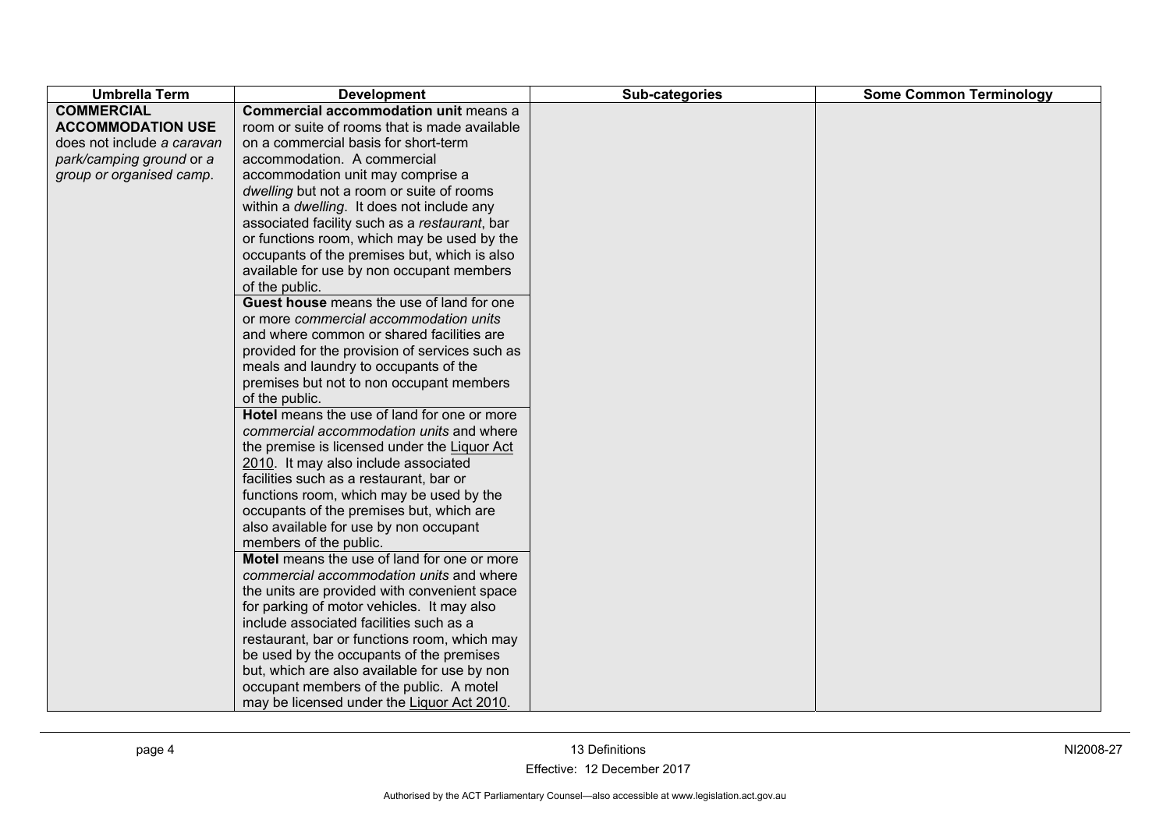| <b>Umbrella Term</b>       | <b>Development</b>                             | Sub-categories | <b>Some Common Terminology</b> |
|----------------------------|------------------------------------------------|----------------|--------------------------------|
| <b>COMMERCIAL</b>          | Commercial accommodation unit means a          |                |                                |
| <b>ACCOMMODATION USE</b>   | room or suite of rooms that is made available  |                |                                |
| does not include a caravan | on a commercial basis for short-term           |                |                                |
| park/camping ground or a   | accommodation. A commercial                    |                |                                |
| group or organised camp.   | accommodation unit may comprise a              |                |                                |
|                            | dwelling but not a room or suite of rooms      |                |                                |
|                            | within a dwelling. It does not include any     |                |                                |
|                            | associated facility such as a restaurant, bar  |                |                                |
|                            | or functions room, which may be used by the    |                |                                |
|                            | occupants of the premises but, which is also   |                |                                |
|                            | available for use by non occupant members      |                |                                |
|                            | of the public.                                 |                |                                |
|                            | Guest house means the use of land for one      |                |                                |
|                            | or more commercial accommodation units         |                |                                |
|                            | and where common or shared facilities are      |                |                                |
|                            | provided for the provision of services such as |                |                                |
|                            | meals and laundry to occupants of the          |                |                                |
|                            | premises but not to non occupant members       |                |                                |
|                            | of the public.                                 |                |                                |
|                            | Hotel means the use of land for one or more    |                |                                |
|                            | commercial accommodation units and where       |                |                                |
|                            | the premise is licensed under the Liquor Act   |                |                                |
|                            | 2010. It may also include associated           |                |                                |
|                            | facilities such as a restaurant, bar or        |                |                                |
|                            | functions room, which may be used by the       |                |                                |
|                            | occupants of the premises but, which are       |                |                                |
|                            | also available for use by non occupant         |                |                                |
|                            | members of the public.                         |                |                                |
|                            | Motel means the use of land for one or more    |                |                                |
|                            | commercial accommodation units and where       |                |                                |
|                            | the units are provided with convenient space   |                |                                |
|                            | for parking of motor vehicles. It may also     |                |                                |
|                            | include associated facilities such as a        |                |                                |
|                            | restaurant, bar or functions room, which may   |                |                                |
|                            | be used by the occupants of the premises       |                |                                |
|                            | but, which are also available for use by non   |                |                                |
|                            | occupant members of the public. A motel        |                |                                |
|                            | may be licensed under the Liquor Act 2010.     |                |                                |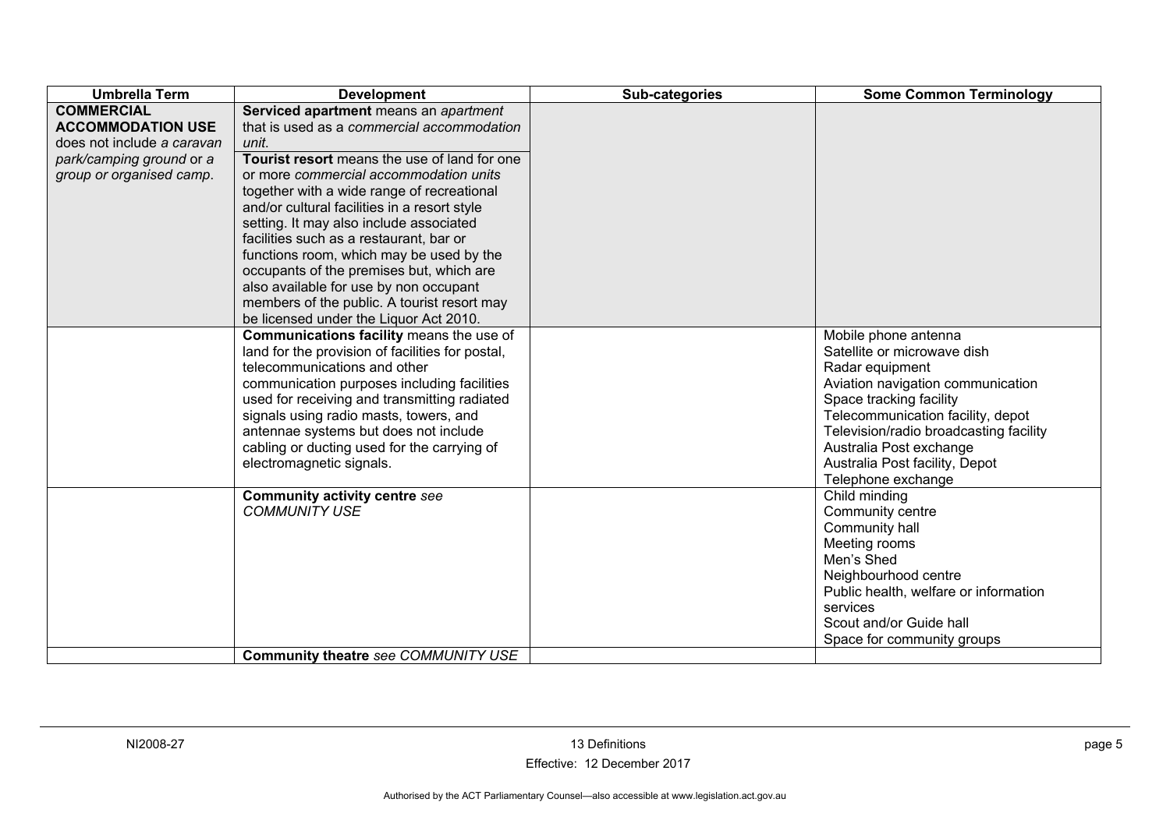| <b>Umbrella Term</b>       | <b>Development</b>                                           | Sub-categories | <b>Some Common Terminology</b>                    |
|----------------------------|--------------------------------------------------------------|----------------|---------------------------------------------------|
| <b>COMMERCIAL</b>          | Serviced apartment means an apartment                        |                |                                                   |
| <b>ACCOMMODATION USE</b>   | that is used as a commercial accommodation                   |                |                                                   |
| does not include a caravan | unit.                                                        |                |                                                   |
| park/camping ground or a   | Tourist resort means the use of land for one                 |                |                                                   |
| group or organised camp.   | or more commercial accommodation units                       |                |                                                   |
|                            | together with a wide range of recreational                   |                |                                                   |
|                            | and/or cultural facilities in a resort style                 |                |                                                   |
|                            | setting. It may also include associated                      |                |                                                   |
|                            | facilities such as a restaurant, bar or                      |                |                                                   |
|                            | functions room, which may be used by the                     |                |                                                   |
|                            | occupants of the premises but, which are                     |                |                                                   |
|                            | also available for use by non occupant                       |                |                                                   |
|                            | members of the public. A tourist resort may                  |                |                                                   |
|                            | be licensed under the Liquor Act 2010.                       |                |                                                   |
|                            | Communications facility means the use of                     |                | Mobile phone antenna                              |
|                            | land for the provision of facilities for postal,             |                | Satellite or microwave dish                       |
|                            | telecommunications and other                                 |                | Radar equipment                                   |
|                            | communication purposes including facilities                  |                | Aviation navigation communication                 |
|                            | used for receiving and transmitting radiated                 |                | Space tracking facility                           |
|                            | signals using radio masts, towers, and                       |                | Telecommunication facility, depot                 |
|                            | antennae systems but does not include                        |                | Television/radio broadcasting facility            |
|                            | cabling or ducting used for the carrying of                  |                | Australia Post exchange                           |
|                            | electromagnetic signals.                                     |                | Australia Post facility, Depot                    |
|                            |                                                              |                | Telephone exchange                                |
|                            | <b>Community activity centre see</b><br><b>COMMUNITY USE</b> |                | Child minding                                     |
|                            |                                                              |                | Community centre                                  |
|                            |                                                              |                | Community hall                                    |
|                            |                                                              |                | Meeting rooms<br>Men's Shed                       |
|                            |                                                              |                |                                                   |
|                            |                                                              |                | Neighbourhood centre                              |
|                            |                                                              |                | Public health, welfare or information<br>services |
|                            |                                                              |                | Scout and/or Guide hall                           |
|                            |                                                              |                |                                                   |
|                            | Community theatre see COMMUNITY USE                          |                | Space for community groups                        |
|                            |                                                              |                |                                                   |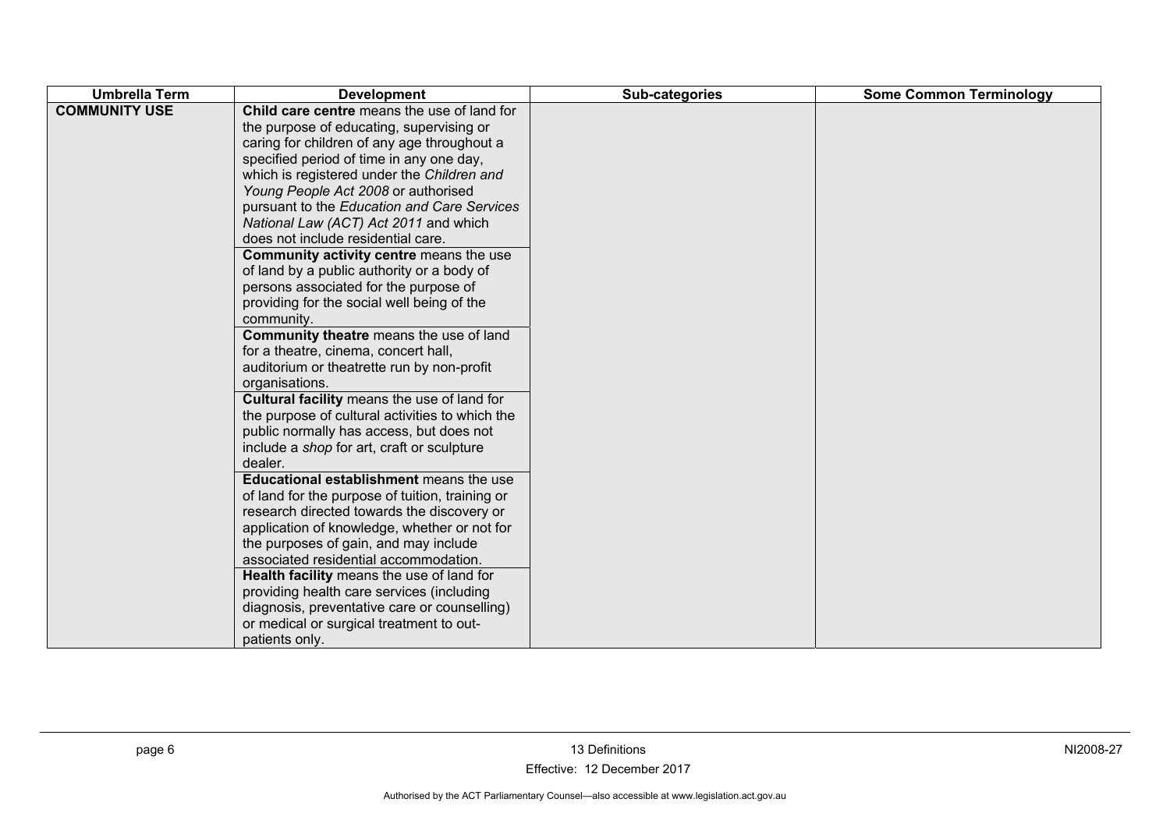| <b>Umbrella Term</b> | <b>Development</b>                                                                                                                                                                                                                                                                                                                                                                                                                                                                                                                                                                                                                                                                                                                                                                                                                                                                                                                                                                                                                                                                                                                                                                                                                                                                                                                                                                                                                | Sub-categories | <b>Some Common Terminology</b> |
|----------------------|-----------------------------------------------------------------------------------------------------------------------------------------------------------------------------------------------------------------------------------------------------------------------------------------------------------------------------------------------------------------------------------------------------------------------------------------------------------------------------------------------------------------------------------------------------------------------------------------------------------------------------------------------------------------------------------------------------------------------------------------------------------------------------------------------------------------------------------------------------------------------------------------------------------------------------------------------------------------------------------------------------------------------------------------------------------------------------------------------------------------------------------------------------------------------------------------------------------------------------------------------------------------------------------------------------------------------------------------------------------------------------------------------------------------------------------|----------------|--------------------------------|
| <b>COMMUNITY USE</b> | Child care centre means the use of land for<br>the purpose of educating, supervising or<br>caring for children of any age throughout a<br>specified period of time in any one day,<br>which is registered under the Children and<br>Young People Act 2008 or authorised<br>pursuant to the Education and Care Services<br>National Law (ACT) Act 2011 and which<br>does not include residential care.<br>Community activity centre means the use<br>of land by a public authority or a body of<br>persons associated for the purpose of<br>providing for the social well being of the<br>community.<br>Community theatre means the use of land<br>for a theatre, cinema, concert hall,<br>auditorium or theatrette run by non-profit<br>organisations.<br>Cultural facility means the use of land for<br>the purpose of cultural activities to which the<br>public normally has access, but does not<br>include a shop for art, craft or sculpture<br>dealer.<br>Educational establishment means the use<br>of land for the purpose of tuition, training or<br>research directed towards the discovery or<br>application of knowledge, whether or not for<br>the purposes of gain, and may include<br>associated residential accommodation.<br>Health facility means the use of land for<br>providing health care services (including<br>diagnosis, preventative care or counselling)<br>or medical or surgical treatment to out- |                |                                |
|                      | patients only.                                                                                                                                                                                                                                                                                                                                                                                                                                                                                                                                                                                                                                                                                                                                                                                                                                                                                                                                                                                                                                                                                                                                                                                                                                                                                                                                                                                                                    |                |                                |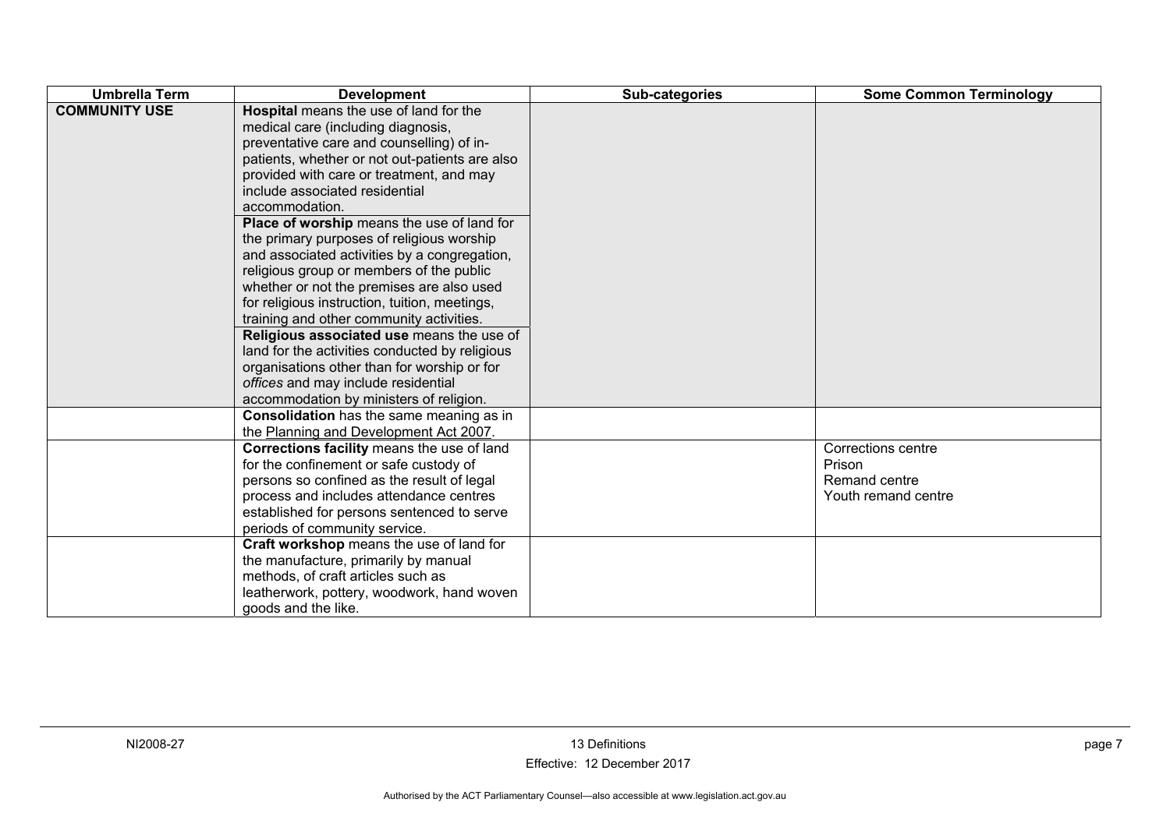| <b>Umbrella Term</b> | <b>Development</b>                                                                                                                                                                                                                                                                                                                                                                                                                                                                                                                                                                                                                                                                                                                                                                                                                           | Sub-categories | <b>Some Common Terminology</b>                                       |
|----------------------|----------------------------------------------------------------------------------------------------------------------------------------------------------------------------------------------------------------------------------------------------------------------------------------------------------------------------------------------------------------------------------------------------------------------------------------------------------------------------------------------------------------------------------------------------------------------------------------------------------------------------------------------------------------------------------------------------------------------------------------------------------------------------------------------------------------------------------------------|----------------|----------------------------------------------------------------------|
| <b>COMMUNITY USE</b> | Hospital means the use of land for the<br>medical care (including diagnosis,<br>preventative care and counselling) of in-<br>patients, whether or not out-patients are also<br>provided with care or treatment, and may<br>include associated residential<br>accommodation.<br>Place of worship means the use of land for<br>the primary purposes of religious worship<br>and associated activities by a congregation,<br>religious group or members of the public<br>whether or not the premises are also used<br>for religious instruction, tuition, meetings,<br>training and other community activities.<br>Religious associated use means the use of<br>land for the activities conducted by religious<br>organisations other than for worship or for<br>offices and may include residential<br>accommodation by ministers of religion. |                |                                                                      |
|                      | Consolidation has the same meaning as in<br>the Planning and Development Act 2007.                                                                                                                                                                                                                                                                                                                                                                                                                                                                                                                                                                                                                                                                                                                                                           |                |                                                                      |
|                      | Corrections facility means the use of land<br>for the confinement or safe custody of<br>persons so confined as the result of legal<br>process and includes attendance centres<br>established for persons sentenced to serve<br>periods of community service.                                                                                                                                                                                                                                                                                                                                                                                                                                                                                                                                                                                 |                | Corrections centre<br>Prison<br>Remand centre<br>Youth remand centre |
|                      | Craft workshop means the use of land for<br>the manufacture, primarily by manual<br>methods, of craft articles such as<br>leatherwork, pottery, woodwork, hand woven<br>goods and the like.                                                                                                                                                                                                                                                                                                                                                                                                                                                                                                                                                                                                                                                  |                |                                                                      |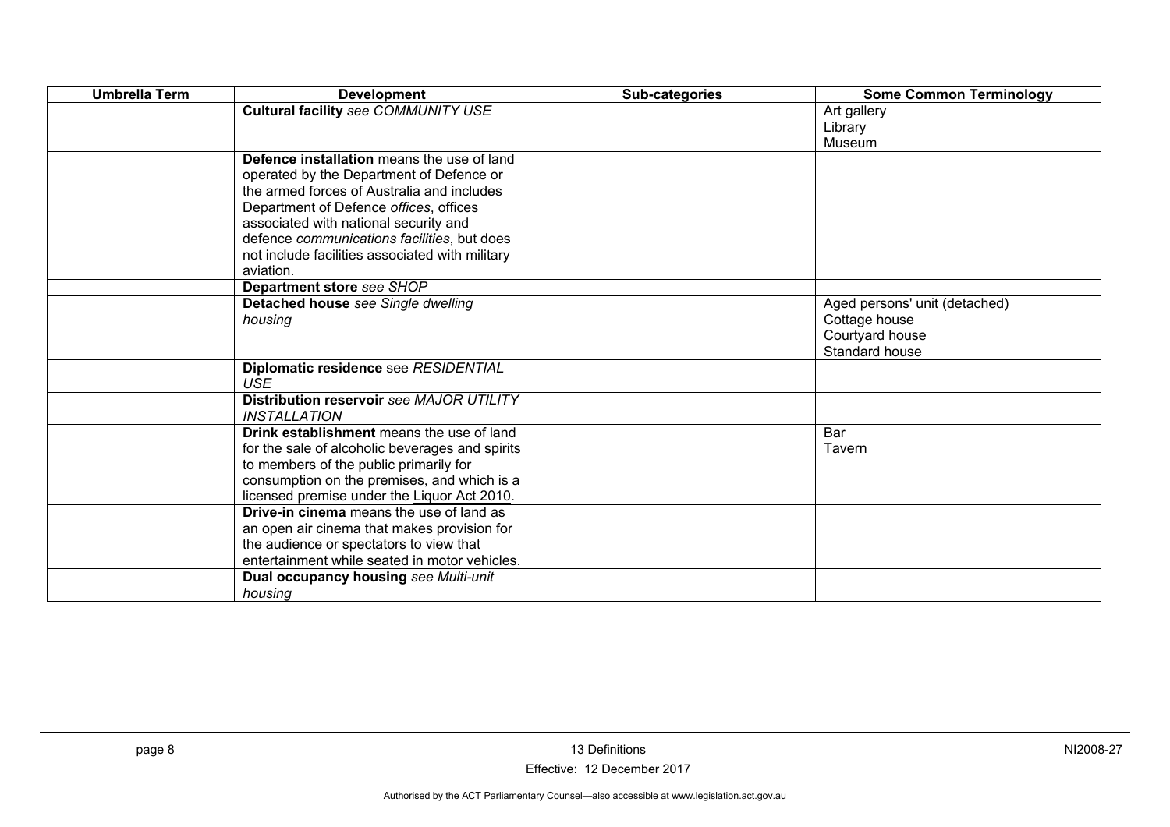| <b>Umbrella Term</b> | <b>Development</b>                              | Sub-categories | <b>Some Common Terminology</b>   |
|----------------------|-------------------------------------------------|----------------|----------------------------------|
|                      | <b>Cultural facility see COMMUNITY USE</b>      |                | Art gallery                      |
|                      |                                                 |                | Library                          |
|                      |                                                 |                | Museum                           |
|                      | Defence installation means the use of land      |                |                                  |
|                      | operated by the Department of Defence or        |                |                                  |
|                      | the armed forces of Australia and includes      |                |                                  |
|                      | Department of Defence offices, offices          |                |                                  |
|                      | associated with national security and           |                |                                  |
|                      | defence communications facilities, but does     |                |                                  |
|                      | not include facilities associated with military |                |                                  |
|                      | aviation.                                       |                |                                  |
|                      | Department store see SHOP                       |                |                                  |
|                      | Detached house see Single dwelling              |                | Aged persons' unit (detached)    |
|                      | housing                                         |                | Cottage house<br>Courtyard house |
|                      |                                                 |                | Standard house                   |
|                      | Diplomatic residence see RESIDENTIAL            |                |                                  |
|                      | <b>USE</b>                                      |                |                                  |
|                      | Distribution reservoir see MAJOR UTILITY        |                |                                  |
|                      | <i><b>INSTALLATION</b></i>                      |                |                                  |
|                      | Drink establishment means the use of land       |                | Bar                              |
|                      | for the sale of alcoholic beverages and spirits |                | Tavern                           |
|                      | to members of the public primarily for          |                |                                  |
|                      | consumption on the premises, and which is a     |                |                                  |
|                      | licensed premise under the Liquor Act 2010.     |                |                                  |
|                      | <b>Drive-in cinema</b> means the use of land as |                |                                  |
|                      | an open air cinema that makes provision for     |                |                                  |
|                      | the audience or spectators to view that         |                |                                  |
|                      | entertainment while seated in motor vehicles.   |                |                                  |
|                      | Dual occupancy housing see Multi-unit           |                |                                  |
|                      | housing                                         |                |                                  |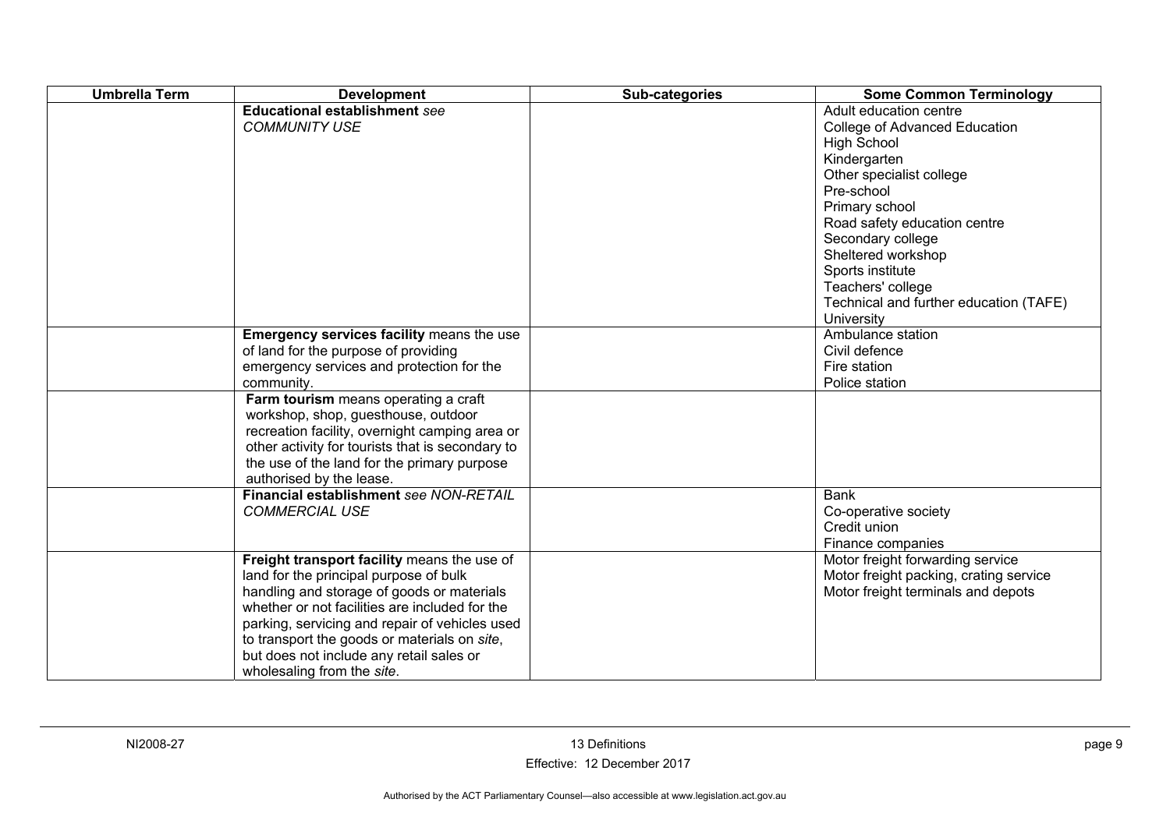| <b>Umbrella Term</b> | <b>Development</b>                                                                                                                                                                                                                                                                                                                                                | Sub-categories | <b>Some Common Terminology</b>                                                                                                                                                                                                                                                                                                        |
|----------------------|-------------------------------------------------------------------------------------------------------------------------------------------------------------------------------------------------------------------------------------------------------------------------------------------------------------------------------------------------------------------|----------------|---------------------------------------------------------------------------------------------------------------------------------------------------------------------------------------------------------------------------------------------------------------------------------------------------------------------------------------|
|                      | <b>Educational establishment see</b><br><b>COMMUNITY USE</b>                                                                                                                                                                                                                                                                                                      |                | Adult education centre<br>College of Advanced Education<br><b>High School</b><br>Kindergarten<br>Other specialist college<br>Pre-school<br>Primary school<br>Road safety education centre<br>Secondary college<br>Sheltered workshop<br>Sports institute<br>Teachers' college<br>Technical and further education (TAFE)<br>University |
|                      | Emergency services facility means the use<br>of land for the purpose of providing<br>emergency services and protection for the<br>community.                                                                                                                                                                                                                      |                | Ambulance station<br>Civil defence<br>Fire station<br>Police station                                                                                                                                                                                                                                                                  |
|                      | Farm tourism means operating a craft<br>workshop, shop, guesthouse, outdoor<br>recreation facility, overnight camping area or<br>other activity for tourists that is secondary to<br>the use of the land for the primary purpose<br>authorised by the lease.                                                                                                      |                |                                                                                                                                                                                                                                                                                                                                       |
|                      | Financial establishment see NON-RETAIL<br><b>COMMERCIAL USE</b>                                                                                                                                                                                                                                                                                                   |                | <b>Bank</b><br>Co-operative society<br>Credit union<br>Finance companies                                                                                                                                                                                                                                                              |
|                      | Freight transport facility means the use of<br>land for the principal purpose of bulk<br>handling and storage of goods or materials<br>whether or not facilities are included for the<br>parking, servicing and repair of vehicles used<br>to transport the goods or materials on site,<br>but does not include any retail sales or<br>wholesaling from the site. |                | Motor freight forwarding service<br>Motor freight packing, crating service<br>Motor freight terminals and depots                                                                                                                                                                                                                      |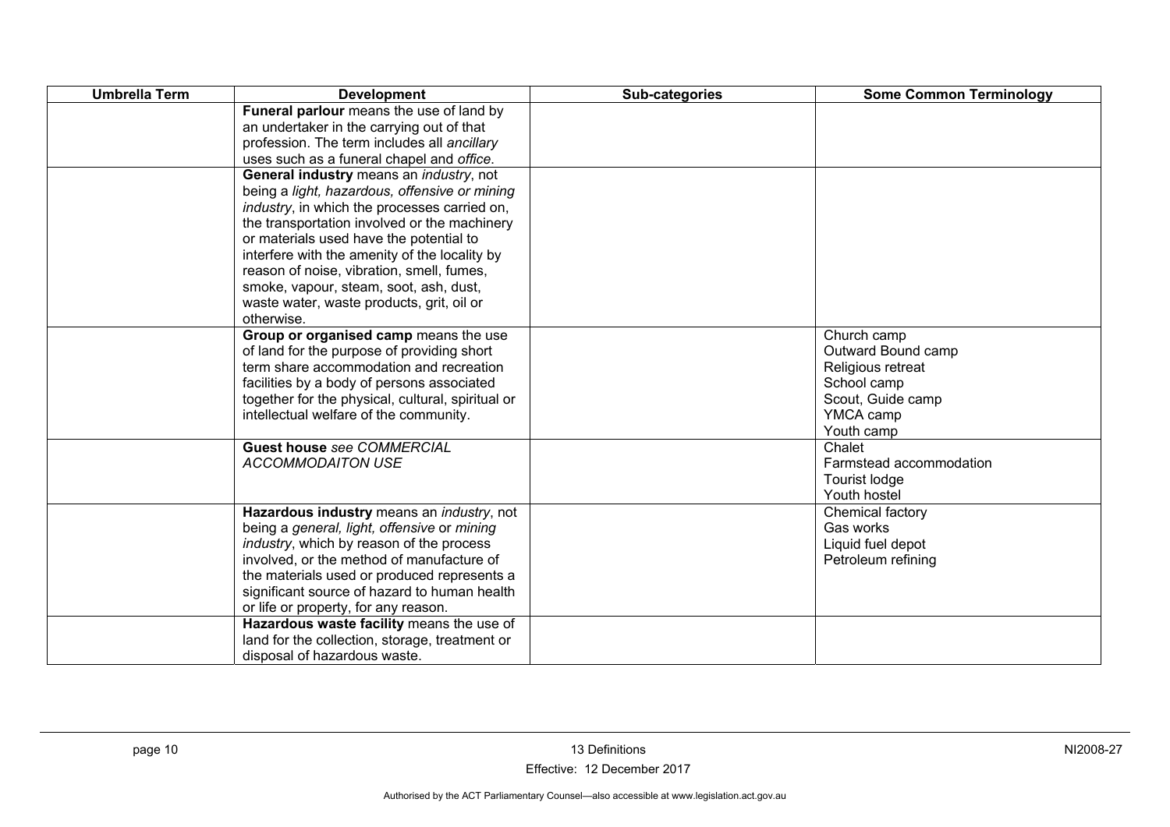| <b>Umbrella Term</b> | <b>Development</b>                                                                                                                                                                                                                                                                                                                                                                                                                                      | Sub-categories | <b>Some Common Terminology</b>                                                                                        |
|----------------------|---------------------------------------------------------------------------------------------------------------------------------------------------------------------------------------------------------------------------------------------------------------------------------------------------------------------------------------------------------------------------------------------------------------------------------------------------------|----------------|-----------------------------------------------------------------------------------------------------------------------|
|                      | Funeral parlour means the use of land by<br>an undertaker in the carrying out of that<br>profession. The term includes all ancillary<br>uses such as a funeral chapel and office.                                                                                                                                                                                                                                                                       |                |                                                                                                                       |
|                      | General industry means an industry, not<br>being a light, hazardous, offensive or mining<br><i>industry</i> , in which the processes carried on,<br>the transportation involved or the machinery<br>or materials used have the potential to<br>interfere with the amenity of the locality by<br>reason of noise, vibration, smell, fumes,<br>smoke, vapour, steam, soot, ash, dust,<br>waste water, waste products, grit, oil or<br>otherwise.          |                |                                                                                                                       |
|                      | Group or organised camp means the use<br>of land for the purpose of providing short<br>term share accommodation and recreation<br>facilities by a body of persons associated<br>together for the physical, cultural, spiritual or<br>intellectual welfare of the community.                                                                                                                                                                             |                | Church camp<br>Outward Bound camp<br>Religious retreat<br>School camp<br>Scout, Guide camp<br>YMCA camp<br>Youth camp |
|                      | <b>Guest house see COMMERCIAL</b><br><b>ACCOMMODAITON USE</b>                                                                                                                                                                                                                                                                                                                                                                                           |                | Chalet<br>Farmstead accommodation<br>Tourist lodge<br>Youth hostel                                                    |
|                      | Hazardous industry means an industry, not<br>being a general, light, offensive or mining<br>industry, which by reason of the process<br>involved, or the method of manufacture of<br>the materials used or produced represents a<br>significant source of hazard to human health<br>or life or property, for any reason.<br>Hazardous waste facility means the use of<br>land for the collection, storage, treatment or<br>disposal of hazardous waste. |                | Chemical factory<br>Gas works<br>Liquid fuel depot<br>Petroleum refining                                              |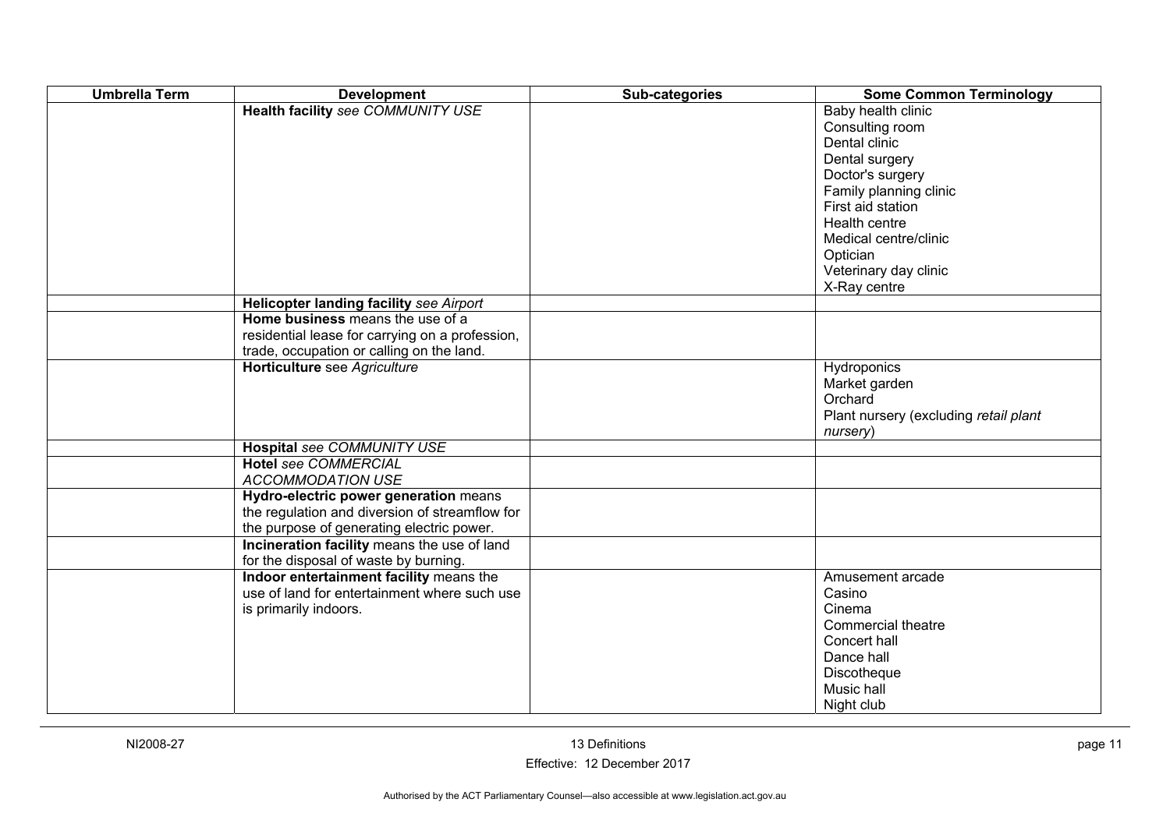| <b>Umbrella Term</b> | <b>Development</b>                              | Sub-categories | <b>Some Common Terminology</b>        |
|----------------------|-------------------------------------------------|----------------|---------------------------------------|
|                      | <b>Health facility see COMMUNITY USE</b>        |                | Baby health clinic                    |
|                      |                                                 |                | Consulting room                       |
|                      |                                                 |                | Dental clinic                         |
|                      |                                                 |                | Dental surgery                        |
|                      |                                                 |                | Doctor's surgery                      |
|                      |                                                 |                | Family planning clinic                |
|                      |                                                 |                | First aid station                     |
|                      |                                                 |                | Health centre                         |
|                      |                                                 |                | Medical centre/clinic                 |
|                      |                                                 |                | Optician                              |
|                      |                                                 |                | Veterinary day clinic                 |
|                      |                                                 |                | X-Ray centre                          |
|                      | Helicopter landing facility see Airport         |                |                                       |
|                      | Home business means the use of a                |                |                                       |
|                      | residential lease for carrying on a profession, |                |                                       |
|                      | trade, occupation or calling on the land.       |                |                                       |
|                      | Horticulture see Agriculture                    |                | Hydroponics                           |
|                      |                                                 |                | Market garden                         |
|                      |                                                 |                | Orchard                               |
|                      |                                                 |                | Plant nursery (excluding retail plant |
|                      |                                                 |                | nursery)                              |
|                      | Hospital see COMMUNITY USE                      |                |                                       |
|                      | <b>Hotel see COMMERCIAL</b>                     |                |                                       |
|                      | <b>ACCOMMODATION USE</b>                        |                |                                       |
|                      | Hydro-electric power generation means           |                |                                       |
|                      | the regulation and diversion of streamflow for  |                |                                       |
|                      | the purpose of generating electric power.       |                |                                       |
|                      | Incineration facility means the use of land     |                |                                       |
|                      | for the disposal of waste by burning.           |                |                                       |
|                      | Indoor entertainment facility means the         |                | Amusement arcade                      |
|                      | use of land for entertainment where such use    |                | Casino                                |
|                      | is primarily indoors.                           |                | Cinema                                |
|                      |                                                 |                | Commercial theatre                    |
|                      |                                                 |                | Concert hall                          |
|                      |                                                 |                | Dance hall                            |
|                      |                                                 |                | Discotheque                           |
|                      |                                                 |                | Music hall                            |
|                      |                                                 |                | Night club                            |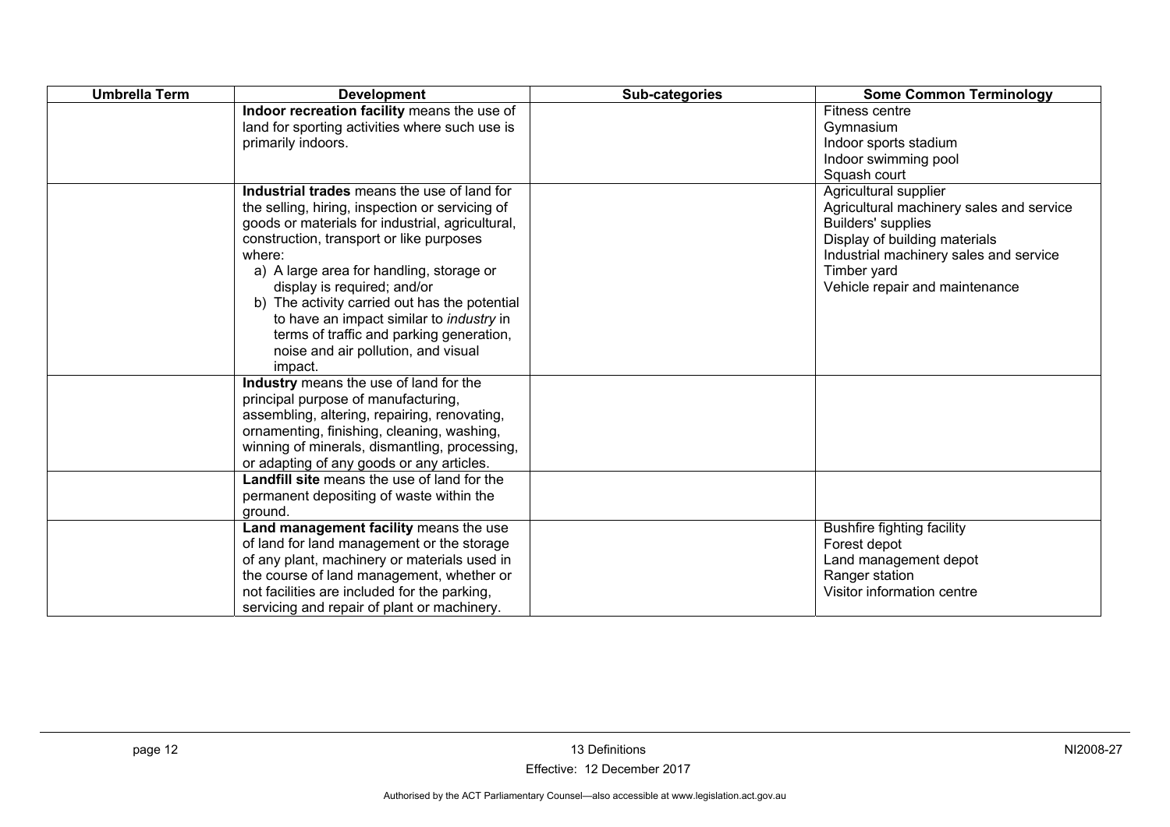| <b>Umbrella Term</b> | <b>Development</b>                                                                                                                                                                                                                                                                                                                                                                                                                                                                    | Sub-categories | <b>Some Common Terminology</b>                                                                                                                                                                                             |
|----------------------|---------------------------------------------------------------------------------------------------------------------------------------------------------------------------------------------------------------------------------------------------------------------------------------------------------------------------------------------------------------------------------------------------------------------------------------------------------------------------------------|----------------|----------------------------------------------------------------------------------------------------------------------------------------------------------------------------------------------------------------------------|
|                      | Indoor recreation facility means the use of<br>land for sporting activities where such use is<br>primarily indoors.                                                                                                                                                                                                                                                                                                                                                                   |                | Fitness centre<br>Gymnasium<br>Indoor sports stadium<br>Indoor swimming pool<br>Squash court                                                                                                                               |
|                      | Industrial trades means the use of land for<br>the selling, hiring, inspection or servicing of<br>goods or materials for industrial, agricultural,<br>construction, transport or like purposes<br>where:<br>a) A large area for handling, storage or<br>display is required; and/or<br>b) The activity carried out has the potential<br>to have an impact similar to <i>industry</i> in<br>terms of traffic and parking generation,<br>noise and air pollution, and visual<br>impact. |                | Agricultural supplier<br>Agricultural machinery sales and service<br><b>Builders' supplies</b><br>Display of building materials<br>Industrial machinery sales and service<br>Timber yard<br>Vehicle repair and maintenance |
|                      | Industry means the use of land for the<br>principal purpose of manufacturing,<br>assembling, altering, repairing, renovating,<br>ornamenting, finishing, cleaning, washing,<br>winning of minerals, dismantling, processing,<br>or adapting of any goods or any articles.                                                                                                                                                                                                             |                |                                                                                                                                                                                                                            |
|                      | Landfill site means the use of land for the<br>permanent depositing of waste within the<br>ground.                                                                                                                                                                                                                                                                                                                                                                                    |                |                                                                                                                                                                                                                            |
|                      | Land management facility means the use<br>of land for land management or the storage<br>of any plant, machinery or materials used in<br>the course of land management, whether or<br>not facilities are included for the parking,<br>servicing and repair of plant or machinery.                                                                                                                                                                                                      |                | <b>Bushfire fighting facility</b><br>Forest depot<br>Land management depot<br>Ranger station<br>Visitor information centre                                                                                                 |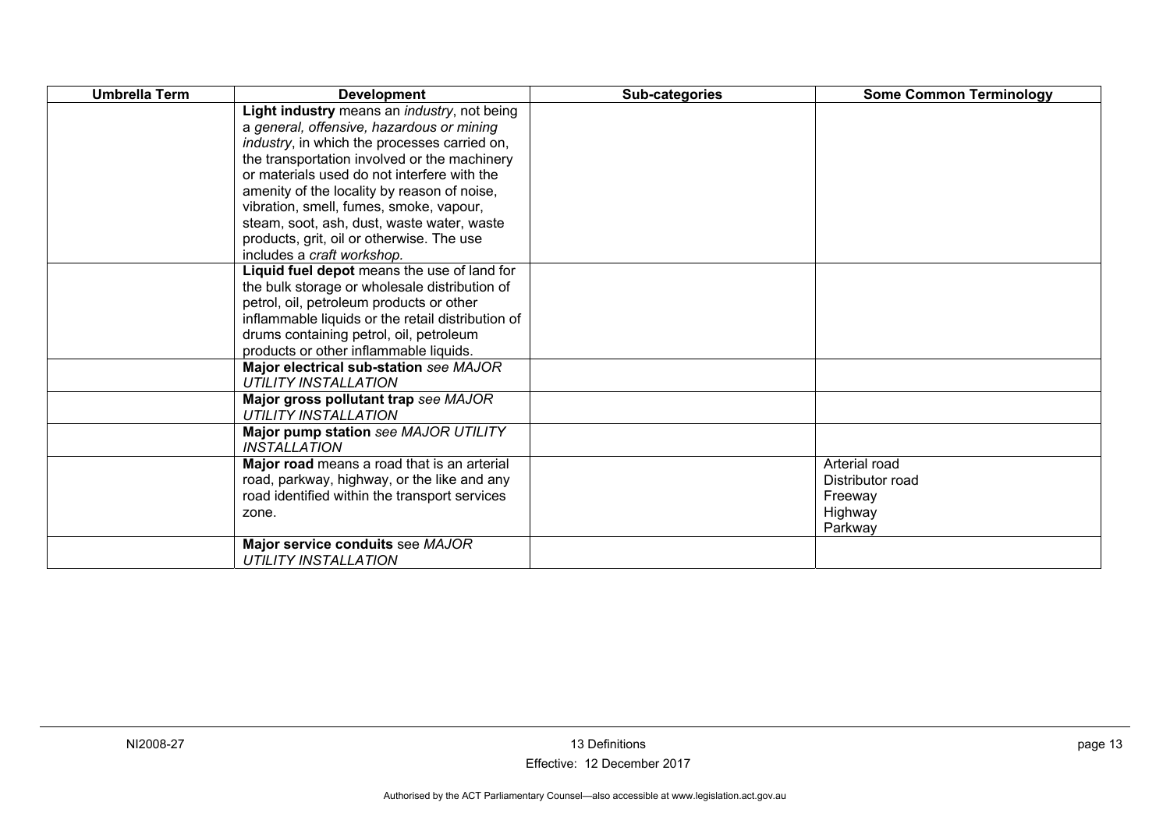| <b>Umbrella Term</b> | <b>Development</b>                                                    | Sub-categories | <b>Some Common Terminology</b> |
|----------------------|-----------------------------------------------------------------------|----------------|--------------------------------|
|                      | Light industry means an <i>industry</i> , not being                   |                |                                |
|                      | a general, offensive, hazardous or mining                             |                |                                |
|                      | <i>industry</i> , in which the processes carried on,                  |                |                                |
|                      | the transportation involved or the machinery                          |                |                                |
|                      | or materials used do not interfere with the                           |                |                                |
|                      | amenity of the locality by reason of noise,                           |                |                                |
|                      | vibration, smell, fumes, smoke, vapour,                               |                |                                |
|                      | steam, soot, ash, dust, waste water, waste                            |                |                                |
|                      | products, grit, oil or otherwise. The use                             |                |                                |
|                      | includes a craft workshop.                                            |                |                                |
|                      | Liquid fuel depot means the use of land for                           |                |                                |
|                      | the bulk storage or wholesale distribution of                         |                |                                |
|                      | petrol, oil, petroleum products or other                              |                |                                |
|                      | inflammable liquids or the retail distribution of                     |                |                                |
|                      | drums containing petrol, oil, petroleum                               |                |                                |
|                      | products or other inflammable liquids.                                |                |                                |
|                      | Major electrical sub-station see MAJOR<br><b>UTILITY INSTALLATION</b> |                |                                |
|                      | Major gross pollutant trap see MAJOR                                  |                |                                |
|                      | <b>UTILITY INSTALLATION</b>                                           |                |                                |
|                      | Major pump station see MAJOR UTILITY                                  |                |                                |
|                      | <b>INSTALLATION</b>                                                   |                |                                |
|                      | Major road means a road that is an arterial                           |                | Arterial road                  |
|                      | road, parkway, highway, or the like and any                           |                | Distributor road               |
|                      | road identified within the transport services                         |                | Freeway                        |
|                      | zone.                                                                 |                | Highway                        |
|                      |                                                                       |                | Parkway                        |
|                      | Major service conduits see MAJOR                                      |                |                                |
|                      | <b>UTILITY INSTALLATION</b>                                           |                |                                |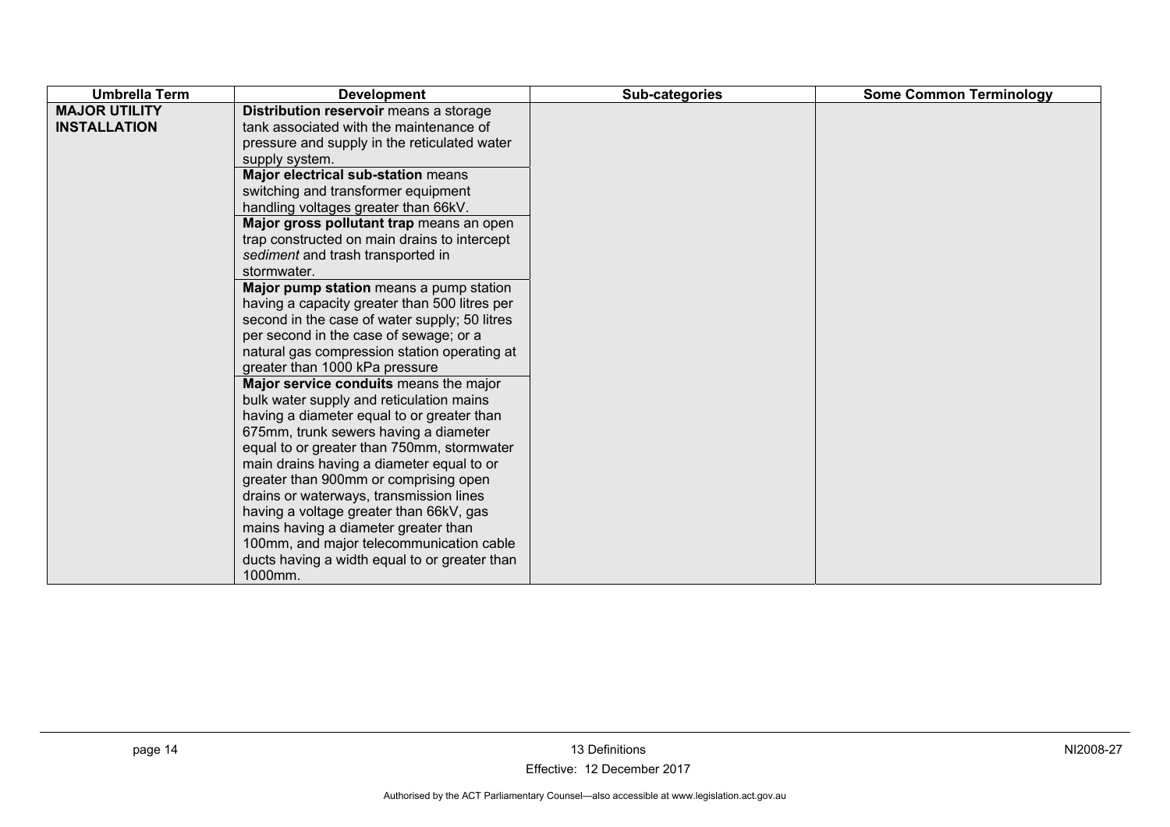| <b>MAJOR UTILITY</b><br>Distribution reservoir means a storage<br>tank associated with the maintenance of<br><b>INSTALLATION</b><br>pressure and supply in the reticulated water<br>supply system.<br>Major electrical sub-station means<br>switching and transformer equipment<br>handling voltages greater than 66kV.<br>Major gross pollutant trap means an open<br>trap constructed on main drains to intercept<br>sediment and trash transported in<br>stormwater.<br>Major pump station means a pump station<br>having a capacity greater than 500 litres per<br>second in the case of water supply; 50 litres<br>per second in the case of sewage; or a<br>natural gas compression station operating at<br>greater than 1000 kPa pressure<br>Major service conduits means the major<br>bulk water supply and reticulation mains<br>having a diameter equal to or greater than<br>675mm, trunk sewers having a diameter<br>equal to or greater than 750mm, stormwater<br>main drains having a diameter equal to or | <b>Umbrella Term</b> | <b>Development</b>                    | Sub-categories | <b>Some Common Terminology</b> |
|--------------------------------------------------------------------------------------------------------------------------------------------------------------------------------------------------------------------------------------------------------------------------------------------------------------------------------------------------------------------------------------------------------------------------------------------------------------------------------------------------------------------------------------------------------------------------------------------------------------------------------------------------------------------------------------------------------------------------------------------------------------------------------------------------------------------------------------------------------------------------------------------------------------------------------------------------------------------------------------------------------------------------|----------------------|---------------------------------------|----------------|--------------------------------|
| drains or waterways, transmission lines<br>having a voltage greater than 66kV, gas<br>mains having a diameter greater than<br>100mm, and major telecommunication cable                                                                                                                                                                                                                                                                                                                                                                                                                                                                                                                                                                                                                                                                                                                                                                                                                                                   |                      | greater than 900mm or comprising open |                |                                |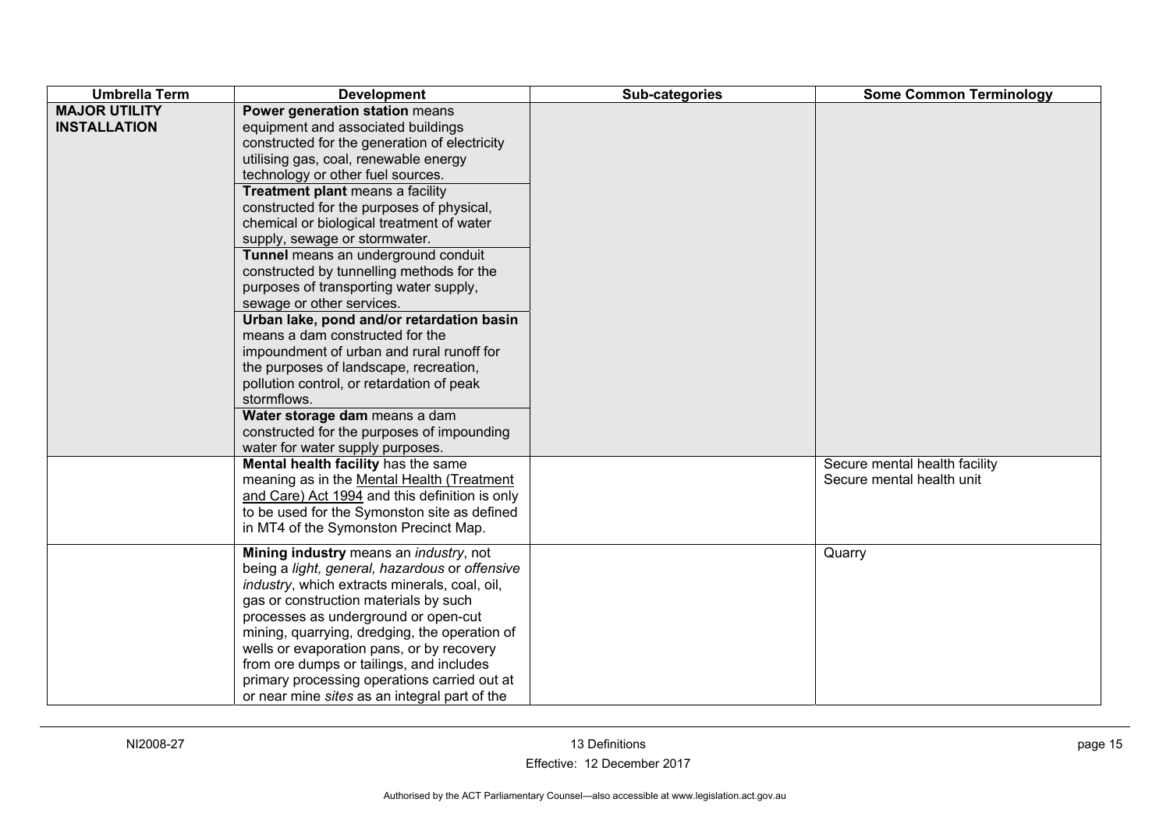| <b>Umbrella Term</b>                        | <b>Development</b>                                                                                                                                                                                                                                                                                                                                                                                                                                                                                                                                                                                                                                                                                                                                                                                                                                                                  | Sub-categories | <b>Some Common Terminology</b>                             |
|---------------------------------------------|-------------------------------------------------------------------------------------------------------------------------------------------------------------------------------------------------------------------------------------------------------------------------------------------------------------------------------------------------------------------------------------------------------------------------------------------------------------------------------------------------------------------------------------------------------------------------------------------------------------------------------------------------------------------------------------------------------------------------------------------------------------------------------------------------------------------------------------------------------------------------------------|----------------|------------------------------------------------------------|
| <b>MAJOR UTILITY</b><br><b>INSTALLATION</b> | Power generation station means<br>equipment and associated buildings<br>constructed for the generation of electricity<br>utilising gas, coal, renewable energy<br>technology or other fuel sources.<br>Treatment plant means a facility<br>constructed for the purposes of physical,<br>chemical or biological treatment of water<br>supply, sewage or stormwater.<br>Tunnel means an underground conduit<br>constructed by tunnelling methods for the<br>purposes of transporting water supply,<br>sewage or other services.<br>Urban lake, pond and/or retardation basin<br>means a dam constructed for the<br>impoundment of urban and rural runoff for<br>the purposes of landscape, recreation,<br>pollution control, or retardation of peak<br>stormflows.<br>Water storage dam means a dam<br>constructed for the purposes of impounding<br>water for water supply purposes. |                |                                                            |
|                                             | Mental health facility has the same<br>meaning as in the Mental Health (Treatment<br>and Care) Act 1994 and this definition is only<br>to be used for the Symonston site as defined<br>in MT4 of the Symonston Precinct Map.                                                                                                                                                                                                                                                                                                                                                                                                                                                                                                                                                                                                                                                        |                | Secure mental health facility<br>Secure mental health unit |
|                                             | Mining industry means an <i>industry</i> , not<br>being a light, general, hazardous or offensive<br>industry, which extracts minerals, coal, oil,<br>gas or construction materials by such<br>processes as underground or open-cut<br>mining, quarrying, dredging, the operation of<br>wells or evaporation pans, or by recovery<br>from ore dumps or tailings, and includes<br>primary processing operations carried out at<br>or near mine sites as an integral part of the                                                                                                                                                                                                                                                                                                                                                                                                       |                | Quarry                                                     |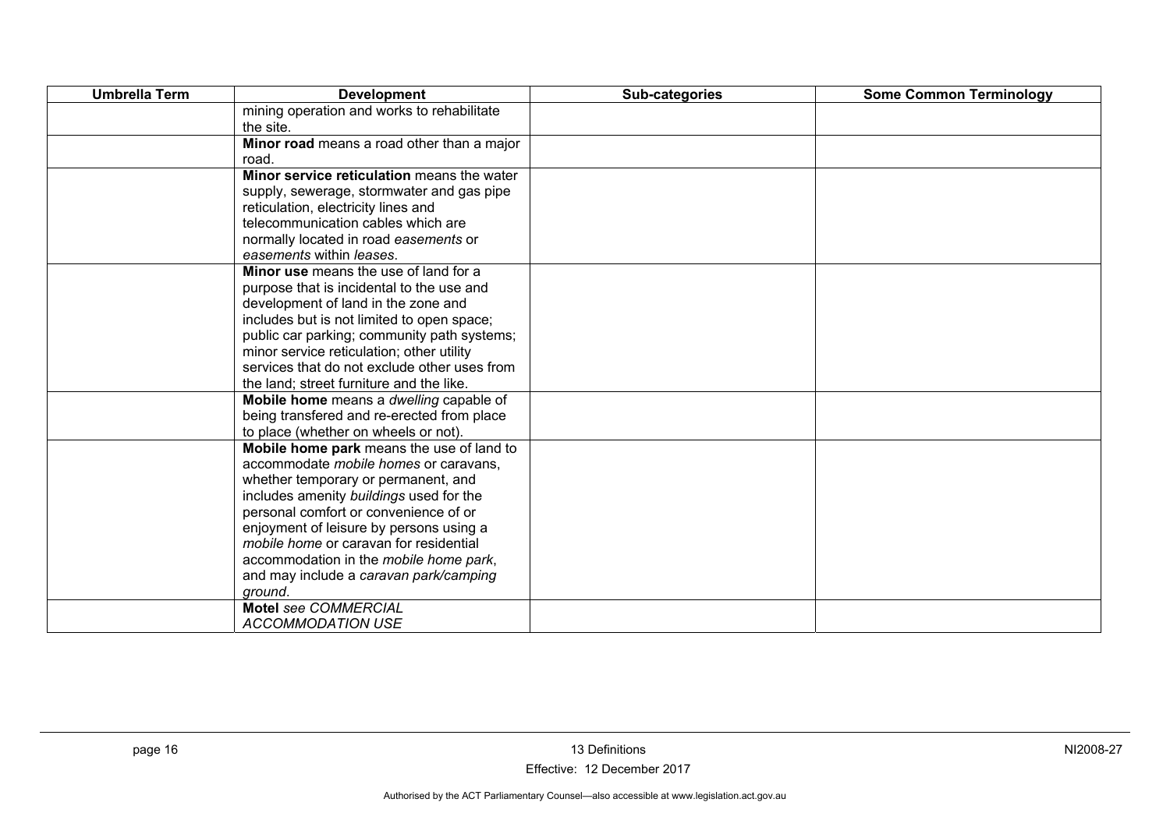| <b>Umbrella Term</b> | <b>Development</b>                           | Sub-categories | <b>Some Common Terminology</b> |
|----------------------|----------------------------------------------|----------------|--------------------------------|
|                      | mining operation and works to rehabilitate   |                |                                |
|                      | the site.                                    |                |                                |
|                      | Minor road means a road other than a major   |                |                                |
|                      | road.                                        |                |                                |
|                      | Minor service reticulation means the water   |                |                                |
|                      | supply, sewerage, stormwater and gas pipe    |                |                                |
|                      | reticulation, electricity lines and          |                |                                |
|                      | telecommunication cables which are           |                |                                |
|                      | normally located in road easements or        |                |                                |
|                      | easements within leases.                     |                |                                |
|                      | Minor use means the use of land for a        |                |                                |
|                      | purpose that is incidental to the use and    |                |                                |
|                      | development of land in the zone and          |                |                                |
|                      | includes but is not limited to open space;   |                |                                |
|                      | public car parking; community path systems;  |                |                                |
|                      | minor service reticulation; other utility    |                |                                |
|                      | services that do not exclude other uses from |                |                                |
|                      | the land; street furniture and the like.     |                |                                |
|                      | Mobile home means a dwelling capable of      |                |                                |
|                      | being transfered and re-erected from place   |                |                                |
|                      | to place (whether on wheels or not).         |                |                                |
|                      | Mobile home park means the use of land to    |                |                                |
|                      | accommodate mobile homes or caravans.        |                |                                |
|                      | whether temporary or permanent, and          |                |                                |
|                      | includes amenity buildings used for the      |                |                                |
|                      | personal comfort or convenience of or        |                |                                |
|                      | enjoyment of leisure by persons using a      |                |                                |
|                      | mobile home or caravan for residential       |                |                                |
|                      | accommodation in the mobile home park,       |                |                                |
|                      | and may include a caravan park/camping       |                |                                |
|                      | ground.                                      |                |                                |
|                      | <b>Motel see COMMERCIAL</b>                  |                |                                |
|                      | <b>ACCOMMODATION USE</b>                     |                |                                |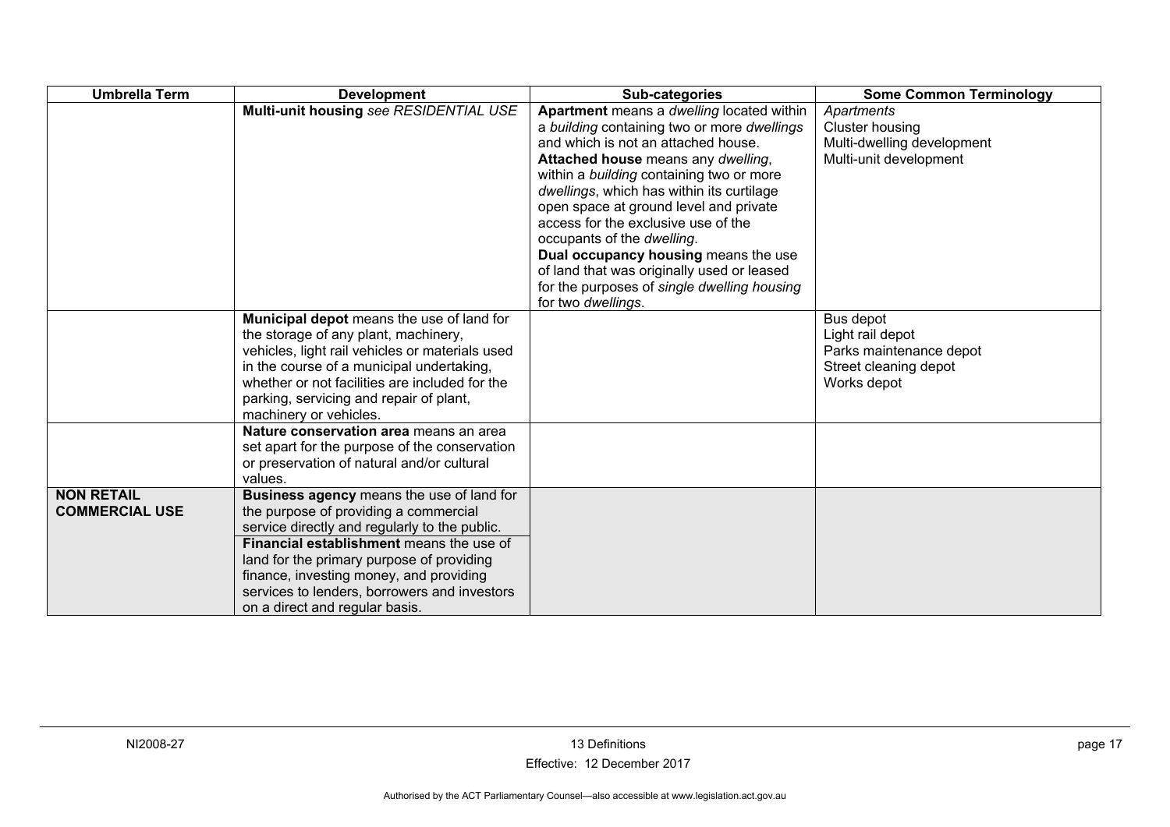| <b>Umbrella Term</b>                       | <b>Development</b>                                                                                                                                                                                                                                                                                                                                        | Sub-categories                                                                                                                                                                                                                                                                                                                                                                                                                                                                                                                           | <b>Some Common Terminology</b>                                                                   |
|--------------------------------------------|-----------------------------------------------------------------------------------------------------------------------------------------------------------------------------------------------------------------------------------------------------------------------------------------------------------------------------------------------------------|------------------------------------------------------------------------------------------------------------------------------------------------------------------------------------------------------------------------------------------------------------------------------------------------------------------------------------------------------------------------------------------------------------------------------------------------------------------------------------------------------------------------------------------|--------------------------------------------------------------------------------------------------|
|                                            | Multi-unit housing see RESIDENTIAL USE                                                                                                                                                                                                                                                                                                                    | Apartment means a dwelling located within<br>a building containing two or more dwellings<br>and which is not an attached house.<br>Attached house means any dwelling,<br>within a building containing two or more<br>dwellings, which has within its curtilage<br>open space at ground level and private<br>access for the exclusive use of the<br>occupants of the dwelling.<br>Dual occupancy housing means the use<br>of land that was originally used or leased<br>for the purposes of single dwelling housing<br>for two dwellings. | Apartments<br><b>Cluster housing</b><br>Multi-dwelling development<br>Multi-unit development     |
|                                            | Municipal depot means the use of land for<br>the storage of any plant, machinery,<br>vehicles, light rail vehicles or materials used<br>in the course of a municipal undertaking,<br>whether or not facilities are included for the<br>parking, servicing and repair of plant,<br>machinery or vehicles.                                                  |                                                                                                                                                                                                                                                                                                                                                                                                                                                                                                                                          | Bus depot<br>Light rail depot<br>Parks maintenance depot<br>Street cleaning depot<br>Works depot |
|                                            | Nature conservation area means an area<br>set apart for the purpose of the conservation<br>or preservation of natural and/or cultural<br>values.                                                                                                                                                                                                          |                                                                                                                                                                                                                                                                                                                                                                                                                                                                                                                                          |                                                                                                  |
| <b>NON RETAIL</b><br><b>COMMERCIAL USE</b> | Business agency means the use of land for<br>the purpose of providing a commercial<br>service directly and regularly to the public.<br>Financial establishment means the use of<br>land for the primary purpose of providing<br>finance, investing money, and providing<br>services to lenders, borrowers and investors<br>on a direct and regular basis. |                                                                                                                                                                                                                                                                                                                                                                                                                                                                                                                                          |                                                                                                  |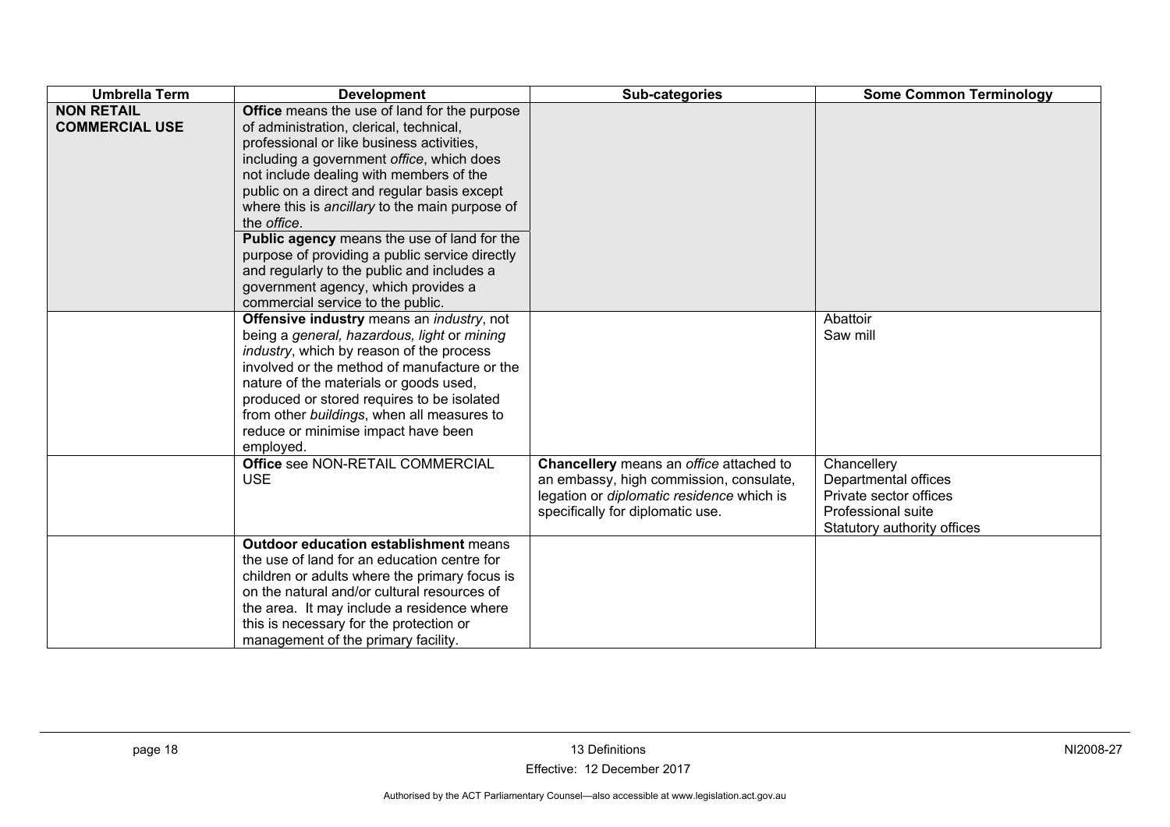| <b>Umbrella Term</b>                       | <b>Development</b>                                                                                                                                                                                                                                                                                                                                                                                                                                                                                                                                                              | Sub-categories                                                                                                                                                             | <b>Some Common Terminology</b>                                                                                     |
|--------------------------------------------|---------------------------------------------------------------------------------------------------------------------------------------------------------------------------------------------------------------------------------------------------------------------------------------------------------------------------------------------------------------------------------------------------------------------------------------------------------------------------------------------------------------------------------------------------------------------------------|----------------------------------------------------------------------------------------------------------------------------------------------------------------------------|--------------------------------------------------------------------------------------------------------------------|
| <b>NON RETAIL</b><br><b>COMMERCIAL USE</b> | Office means the use of land for the purpose<br>of administration, clerical, technical,<br>professional or like business activities,<br>including a government office, which does<br>not include dealing with members of the<br>public on a direct and regular basis except<br>where this is ancillary to the main purpose of<br>the <i>office</i> .<br>Public agency means the use of land for the<br>purpose of providing a public service directly<br>and regularly to the public and includes a<br>government agency, which provides a<br>commercial service to the public. |                                                                                                                                                                            |                                                                                                                    |
|                                            | Offensive industry means an industry, not<br>being a general, hazardous, light or mining<br>industry, which by reason of the process<br>involved or the method of manufacture or the<br>nature of the materials or goods used,<br>produced or stored requires to be isolated<br>from other buildings, when all measures to<br>reduce or minimise impact have been<br>employed.                                                                                                                                                                                                  |                                                                                                                                                                            | Abattoir<br>Saw mill                                                                                               |
|                                            | Office see NON-RETAIL COMMERCIAL<br><b>USE</b>                                                                                                                                                                                                                                                                                                                                                                                                                                                                                                                                  | Chancellery means an office attached to<br>an embassy, high commission, consulate,<br>legation or <i>diplomatic residence</i> which is<br>specifically for diplomatic use. | Chancellery<br>Departmental offices<br>Private sector offices<br>Professional suite<br>Statutory authority offices |
|                                            | <b>Outdoor education establishment means</b><br>the use of land for an education centre for<br>children or adults where the primary focus is<br>on the natural and/or cultural resources of<br>the area. It may include a residence where<br>this is necessary for the protection or<br>management of the primary facility.                                                                                                                                                                                                                                                     |                                                                                                                                                                            |                                                                                                                    |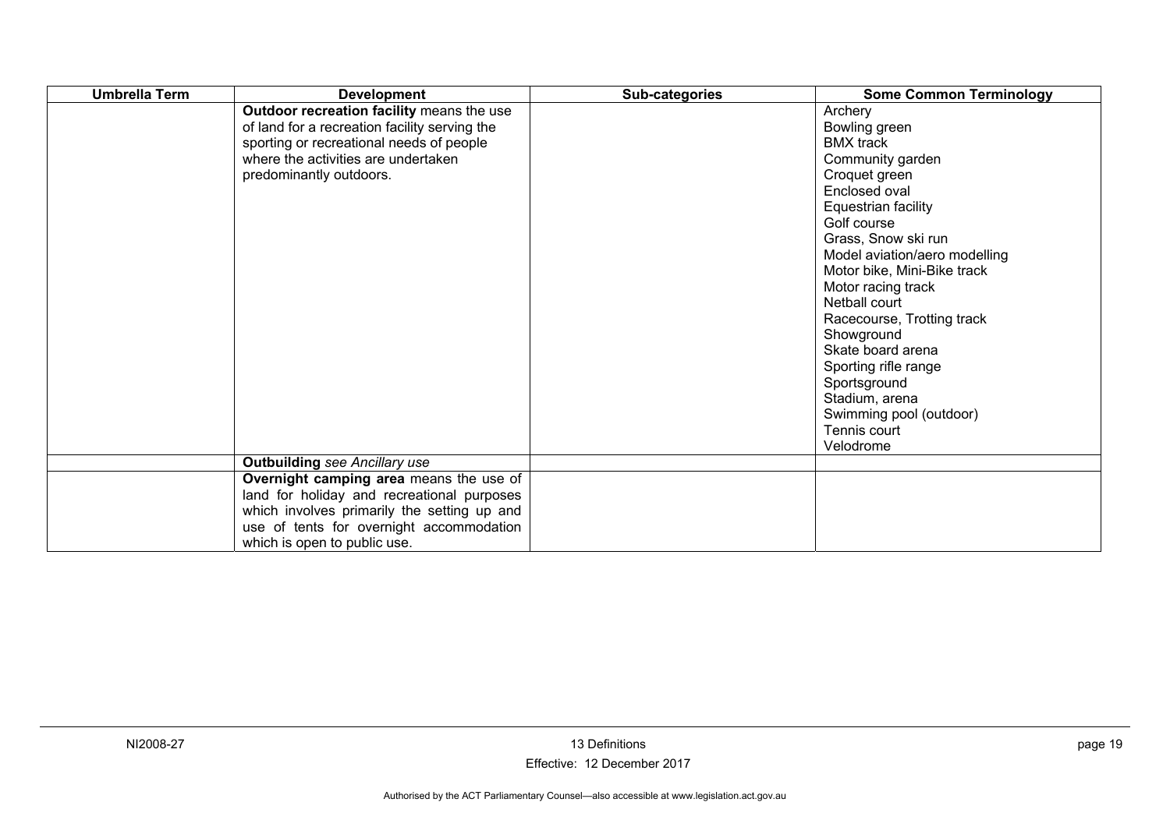| <b>Umbrella Term</b> | <b>Development</b>                                                                                                                                                                                       | Sub-categories | <b>Some Common Terminology</b>                                                                                                                                                                                                                                                                                                                                                                                                                            |
|----------------------|----------------------------------------------------------------------------------------------------------------------------------------------------------------------------------------------------------|----------------|-----------------------------------------------------------------------------------------------------------------------------------------------------------------------------------------------------------------------------------------------------------------------------------------------------------------------------------------------------------------------------------------------------------------------------------------------------------|
|                      | Outdoor recreation facility means the use<br>of land for a recreation facility serving the<br>sporting or recreational needs of people<br>where the activities are undertaken<br>predominantly outdoors. |                | Archery<br>Bowling green<br><b>BMX</b> track<br>Community garden<br>Croquet green<br>Enclosed oval<br>Equestrian facility<br>Golf course<br>Grass, Snow ski run<br>Model aviation/aero modelling<br>Motor bike, Mini-Bike track<br>Motor racing track<br>Netball court<br>Racecourse, Trotting track<br>Showground<br>Skate board arena<br>Sporting rifle range<br>Sportsground<br>Stadium, arena<br>Swimming pool (outdoor)<br>Tennis court<br>Velodrome |
|                      | <b>Outbuilding see Ancillary use</b>                                                                                                                                                                     |                |                                                                                                                                                                                                                                                                                                                                                                                                                                                           |
|                      | Overnight camping area means the use of                                                                                                                                                                  |                |                                                                                                                                                                                                                                                                                                                                                                                                                                                           |
|                      | land for holiday and recreational purposes<br>which involves primarily the setting up and<br>use of tents for overnight accommodation<br>which is open to public use.                                    |                |                                                                                                                                                                                                                                                                                                                                                                                                                                                           |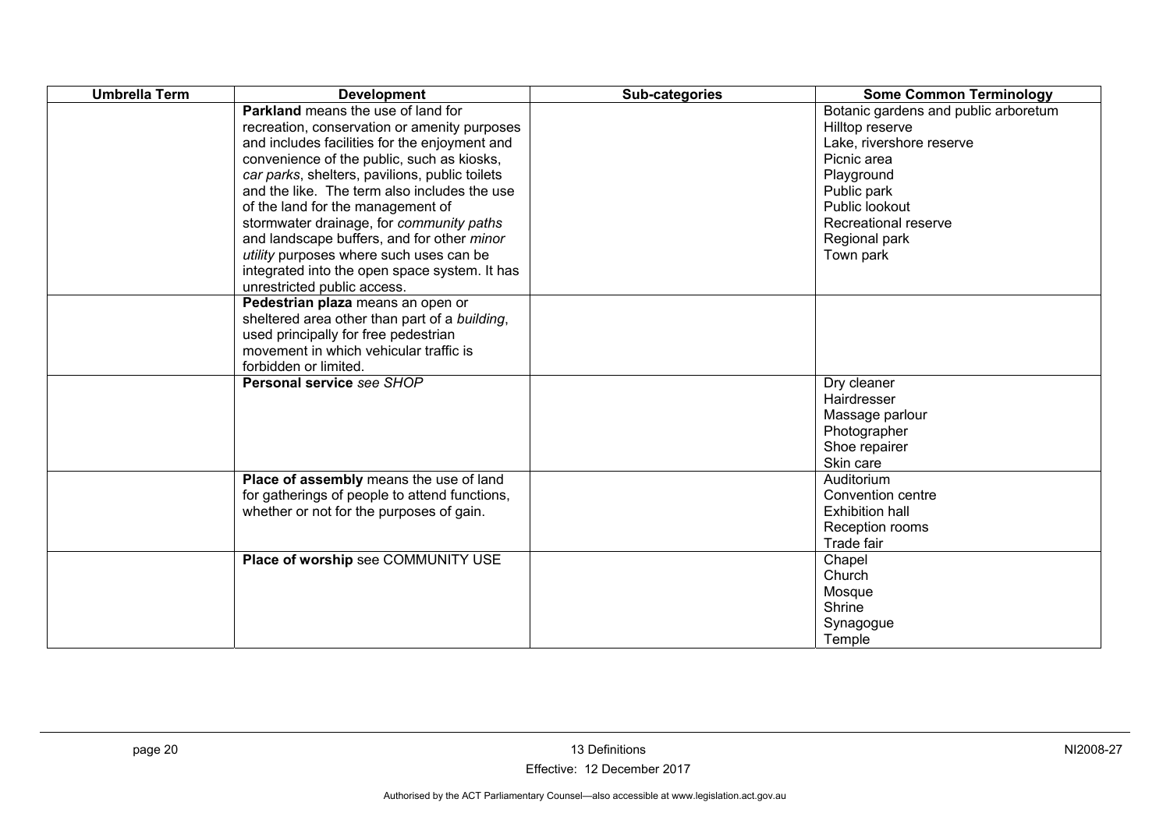| <b>Umbrella Term</b> | <b>Development</b>                                                                                                                                                                                                                                                                                                                                                                                                                                                                                                                                   | Sub-categories | <b>Some Common Terminology</b>                                                                                                                                                                          |
|----------------------|------------------------------------------------------------------------------------------------------------------------------------------------------------------------------------------------------------------------------------------------------------------------------------------------------------------------------------------------------------------------------------------------------------------------------------------------------------------------------------------------------------------------------------------------------|----------------|---------------------------------------------------------------------------------------------------------------------------------------------------------------------------------------------------------|
|                      | <b>Parkland</b> means the use of land for<br>recreation, conservation or amenity purposes<br>and includes facilities for the enjoyment and<br>convenience of the public, such as kiosks,<br>car parks, shelters, pavilions, public toilets<br>and the like. The term also includes the use<br>of the land for the management of<br>stormwater drainage, for community paths<br>and landscape buffers, and for other minor<br>utility purposes where such uses can be<br>integrated into the open space system. It has<br>unrestricted public access. |                | Botanic gardens and public arboretum<br>Hilltop reserve<br>Lake, rivershore reserve<br>Picnic area<br>Playground<br>Public park<br>Public lookout<br>Recreational reserve<br>Regional park<br>Town park |
|                      | Pedestrian plaza means an open or<br>sheltered area other than part of a building,<br>used principally for free pedestrian<br>movement in which vehicular traffic is<br>forbidden or limited.                                                                                                                                                                                                                                                                                                                                                        |                |                                                                                                                                                                                                         |
|                      | Personal service see SHOP                                                                                                                                                                                                                                                                                                                                                                                                                                                                                                                            |                | Dry cleaner<br>Hairdresser<br>Massage parlour<br>Photographer<br>Shoe repairer<br>Skin care                                                                                                             |
|                      | Place of assembly means the use of land<br>for gatherings of people to attend functions,<br>whether or not for the purposes of gain.                                                                                                                                                                                                                                                                                                                                                                                                                 |                | Auditorium<br>Convention centre<br><b>Exhibition hall</b><br>Reception rooms<br>Trade fair                                                                                                              |
|                      | Place of worship see COMMUNITY USE                                                                                                                                                                                                                                                                                                                                                                                                                                                                                                                   |                | Chapel<br>Church<br>Mosque<br>Shrine<br>Synagogue<br>Temple                                                                                                                                             |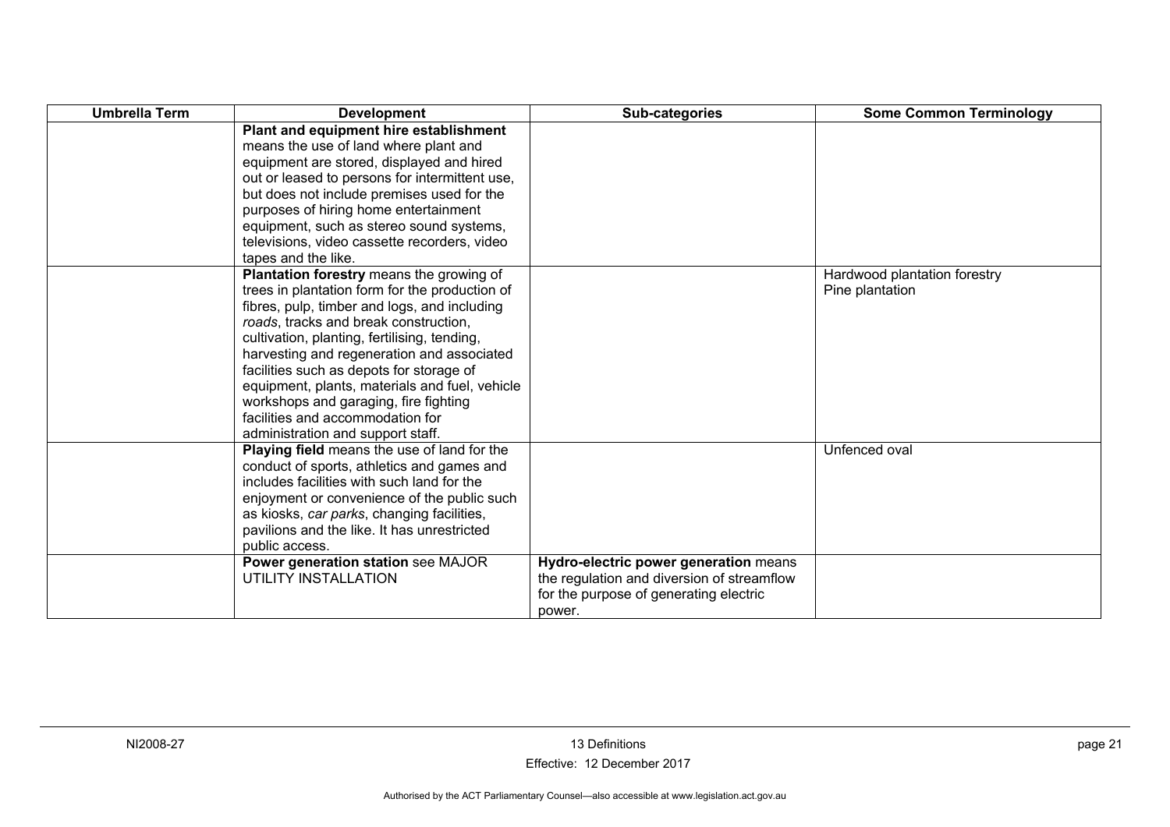| <b>Umbrella Term</b> | <b>Development</b>                             | Sub-categories                             | <b>Some Common Terminology</b> |
|----------------------|------------------------------------------------|--------------------------------------------|--------------------------------|
|                      | Plant and equipment hire establishment         |                                            |                                |
|                      | means the use of land where plant and          |                                            |                                |
|                      | equipment are stored, displayed and hired      |                                            |                                |
|                      | out or leased to persons for intermittent use, |                                            |                                |
|                      | but does not include premises used for the     |                                            |                                |
|                      | purposes of hiring home entertainment          |                                            |                                |
|                      | equipment, such as stereo sound systems,       |                                            |                                |
|                      | televisions, video cassette recorders, video   |                                            |                                |
|                      | tapes and the like.                            |                                            |                                |
|                      | Plantation forestry means the growing of       |                                            | Hardwood plantation forestry   |
|                      | trees in plantation form for the production of |                                            | Pine plantation                |
|                      | fibres, pulp, timber and logs, and including   |                                            |                                |
|                      | roads, tracks and break construction,          |                                            |                                |
|                      | cultivation, planting, fertilising, tending,   |                                            |                                |
|                      | harvesting and regeneration and associated     |                                            |                                |
|                      | facilities such as depots for storage of       |                                            |                                |
|                      | equipment, plants, materials and fuel, vehicle |                                            |                                |
|                      | workshops and garaging, fire fighting          |                                            |                                |
|                      | facilities and accommodation for               |                                            |                                |
|                      | administration and support staff.              |                                            |                                |
|                      | Playing field means the use of land for the    |                                            | Unfenced oval                  |
|                      | conduct of sports, athletics and games and     |                                            |                                |
|                      | includes facilities with such land for the     |                                            |                                |
|                      | enjoyment or convenience of the public such    |                                            |                                |
|                      | as kiosks, car parks, changing facilities,     |                                            |                                |
|                      | pavilions and the like. It has unrestricted    |                                            |                                |
|                      | public access.                                 |                                            |                                |
|                      | Power generation station see MAJOR             | Hydro-electric power generation means      |                                |
|                      | UTILITY INSTALLATION                           | the regulation and diversion of streamflow |                                |
|                      |                                                | for the purpose of generating electric     |                                |
|                      |                                                | power.                                     |                                |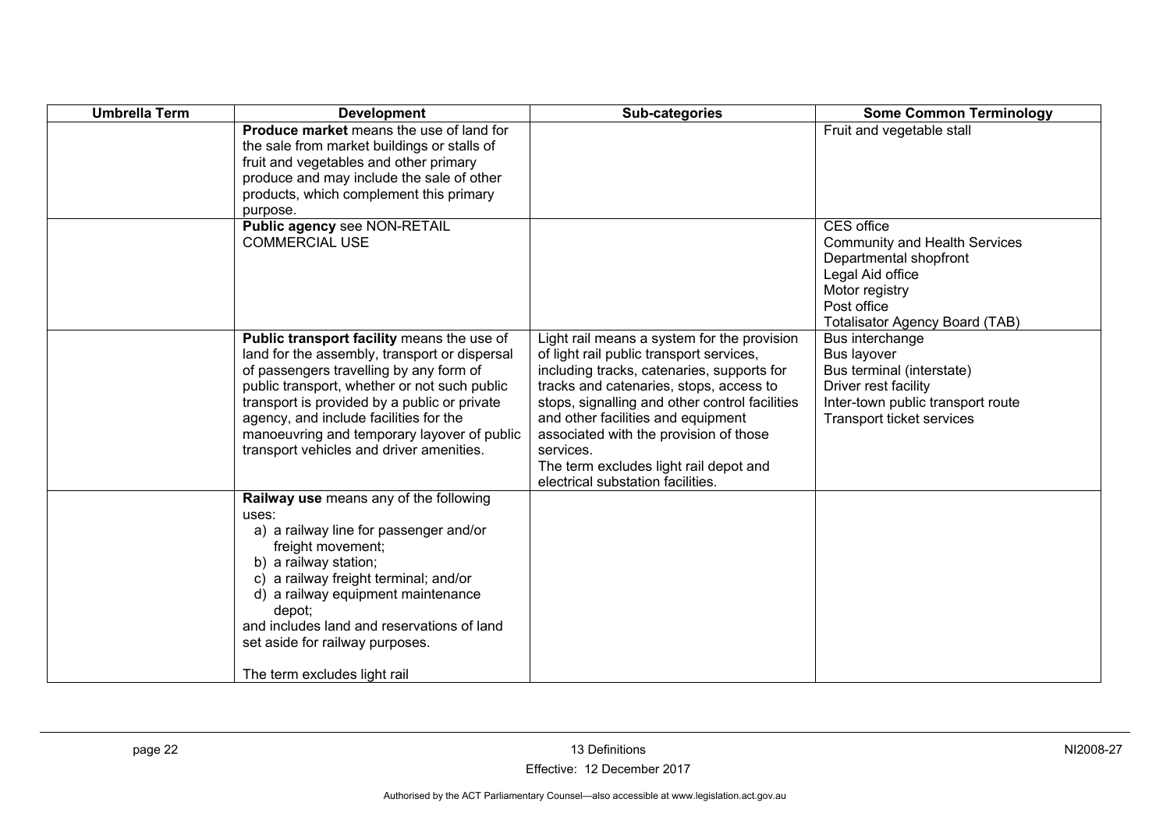| <b>Umbrella Term</b> | <b>Development</b>                                                                                                                                                                                                                                                                                                                                                          | Sub-categories                                                                                                                                                                                                                                                                                                                                                                                                 | <b>Some Common Terminology</b>                                                                                                                                                    |
|----------------------|-----------------------------------------------------------------------------------------------------------------------------------------------------------------------------------------------------------------------------------------------------------------------------------------------------------------------------------------------------------------------------|----------------------------------------------------------------------------------------------------------------------------------------------------------------------------------------------------------------------------------------------------------------------------------------------------------------------------------------------------------------------------------------------------------------|-----------------------------------------------------------------------------------------------------------------------------------------------------------------------------------|
|                      | Produce market means the use of land for<br>the sale from market buildings or stalls of<br>fruit and vegetables and other primary<br>produce and may include the sale of other<br>products, which complement this primary<br>purpose.                                                                                                                                       |                                                                                                                                                                                                                                                                                                                                                                                                                | Fruit and vegetable stall                                                                                                                                                         |
|                      | Public agency see NON-RETAIL<br><b>COMMERCIAL USE</b>                                                                                                                                                                                                                                                                                                                       |                                                                                                                                                                                                                                                                                                                                                                                                                | <b>CES</b> office<br><b>Community and Health Services</b><br>Departmental shopfront<br>Legal Aid office<br>Motor registry<br>Post office<br><b>Totalisator Agency Board (TAB)</b> |
|                      | Public transport facility means the use of<br>land for the assembly, transport or dispersal<br>of passengers travelling by any form of<br>public transport, whether or not such public<br>transport is provided by a public or private<br>agency, and include facilities for the<br>manoeuvring and temporary layover of public<br>transport vehicles and driver amenities. | Light rail means a system for the provision<br>of light rail public transport services,<br>including tracks, catenaries, supports for<br>tracks and catenaries, stops, access to<br>stops, signalling and other control facilities<br>and other facilities and equipment<br>associated with the provision of those<br>services.<br>The term excludes light rail depot and<br>electrical substation facilities. | Bus interchange<br><b>Bus layover</b><br>Bus terminal (interstate)<br>Driver rest facility<br>Inter-town public transport route<br>Transport ticket services                      |
|                      | Railway use means any of the following<br>uses:<br>a) a railway line for passenger and/or<br>freight movement;<br>b) a railway station;<br>c) a railway freight terminal; and/or<br>d) a railway equipment maintenance<br>depot;<br>and includes land and reservations of land<br>set aside for railway purposes.<br>The term excludes light rail                           |                                                                                                                                                                                                                                                                                                                                                                                                                |                                                                                                                                                                                   |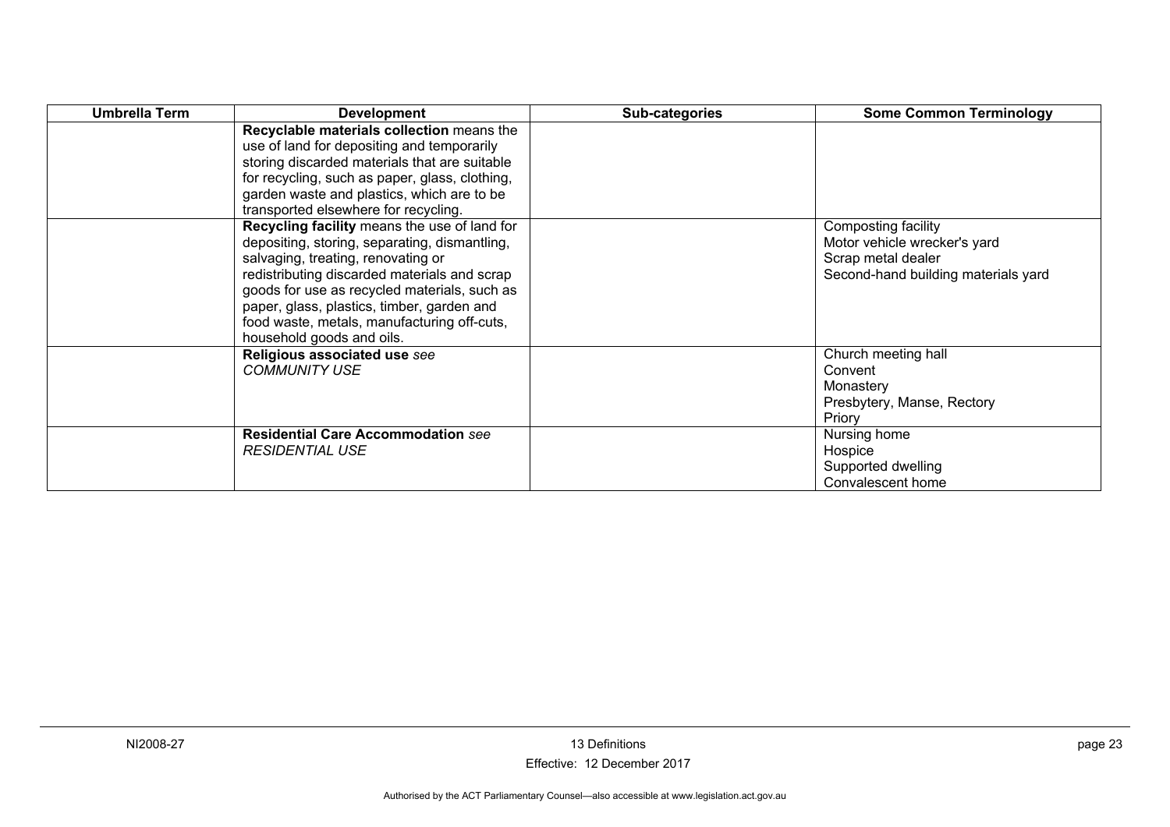| Umbrella Term | <b>Development</b>                                                                                                                                                                                                                                                                                                                                            | Sub-categories | <b>Some Common Terminology</b>                                                                                   |
|---------------|---------------------------------------------------------------------------------------------------------------------------------------------------------------------------------------------------------------------------------------------------------------------------------------------------------------------------------------------------------------|----------------|------------------------------------------------------------------------------------------------------------------|
|               | Recyclable materials collection means the<br>use of land for depositing and temporarily<br>storing discarded materials that are suitable<br>for recycling, such as paper, glass, clothing,<br>garden waste and plastics, which are to be<br>transported elsewhere for recycling.                                                                              |                |                                                                                                                  |
|               | Recycling facility means the use of land for<br>depositing, storing, separating, dismantling,<br>salvaging, treating, renovating or<br>redistributing discarded materials and scrap<br>goods for use as recycled materials, such as<br>paper, glass, plastics, timber, garden and<br>food waste, metals, manufacturing off-cuts,<br>household goods and oils. |                | Composting facility<br>Motor vehicle wrecker's yard<br>Scrap metal dealer<br>Second-hand building materials yard |
|               | Religious associated use see<br><b>COMMUNITY USE</b>                                                                                                                                                                                                                                                                                                          |                | Church meeting hall<br>Convent<br>Monastery<br>Presbytery, Manse, Rectory<br>Priory                              |
|               | <b>Residential Care Accommodation see</b><br><b>RESIDENTIAL USE</b>                                                                                                                                                                                                                                                                                           |                | Nursing home<br>Hospice<br>Supported dwelling<br>Convalescent home                                               |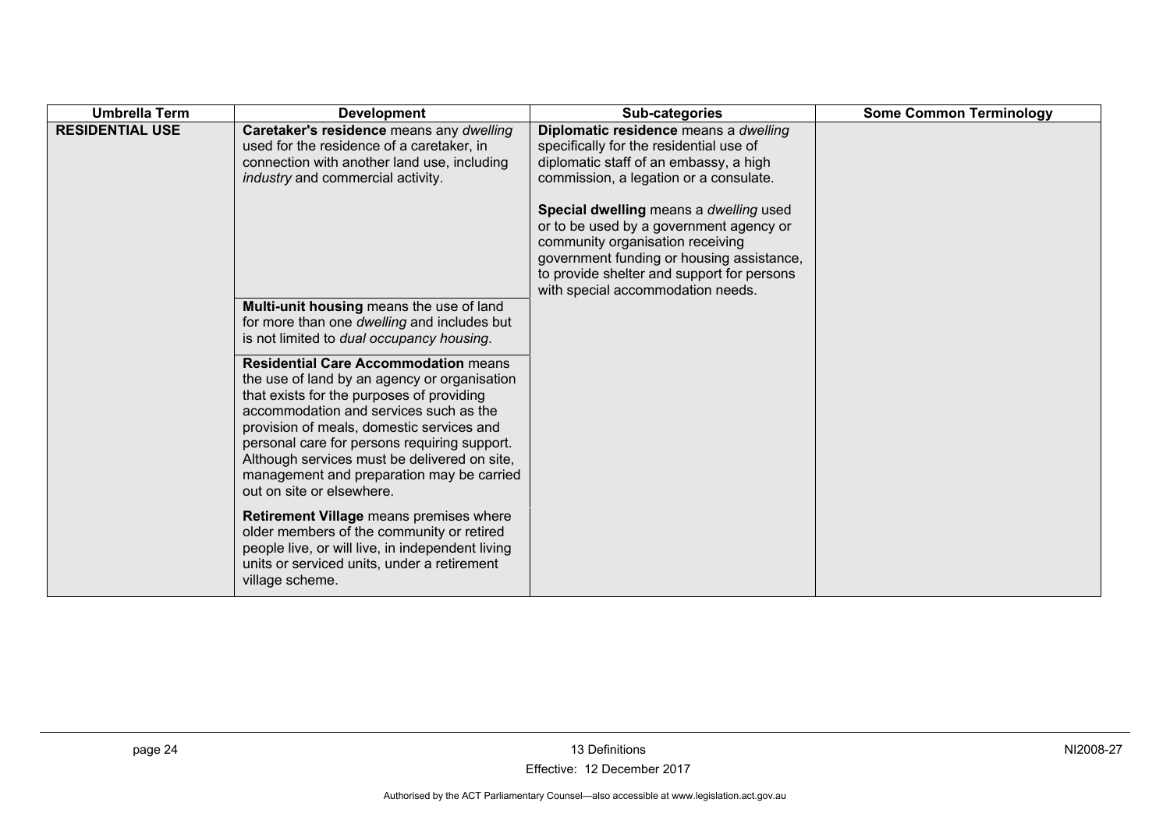| <b>Umbrella Term</b>   | <b>Development</b>                                                                                                                                                                                                                                                                                                                                                                                        | Sub-categories                                                                                                                                                                                                                                        | <b>Some Common Terminology</b> |
|------------------------|-----------------------------------------------------------------------------------------------------------------------------------------------------------------------------------------------------------------------------------------------------------------------------------------------------------------------------------------------------------------------------------------------------------|-------------------------------------------------------------------------------------------------------------------------------------------------------------------------------------------------------------------------------------------------------|--------------------------------|
| <b>RESIDENTIAL USE</b> | Caretaker's residence means any dwelling<br>used for the residence of a caretaker, in<br>connection with another land use, including<br>industry and commercial activity.                                                                                                                                                                                                                                 | Diplomatic residence means a dwelling<br>specifically for the residential use of<br>diplomatic staff of an embassy, a high<br>commission, a legation or a consulate.                                                                                  |                                |
|                        |                                                                                                                                                                                                                                                                                                                                                                                                           | Special dwelling means a dwelling used<br>or to be used by a government agency or<br>community organisation receiving<br>government funding or housing assistance,<br>to provide shelter and support for persons<br>with special accommodation needs. |                                |
|                        | Multi-unit housing means the use of land<br>for more than one dwelling and includes but<br>is not limited to dual occupancy housing.                                                                                                                                                                                                                                                                      |                                                                                                                                                                                                                                                       |                                |
|                        | <b>Residential Care Accommodation means</b><br>the use of land by an agency or organisation<br>that exists for the purposes of providing<br>accommodation and services such as the<br>provision of meals, domestic services and<br>personal care for persons requiring support.<br>Although services must be delivered on site,<br>management and preparation may be carried<br>out on site or elsewhere. |                                                                                                                                                                                                                                                       |                                |
|                        | Retirement Village means premises where<br>older members of the community or retired<br>people live, or will live, in independent living<br>units or serviced units, under a retirement<br>village scheme.                                                                                                                                                                                                |                                                                                                                                                                                                                                                       |                                |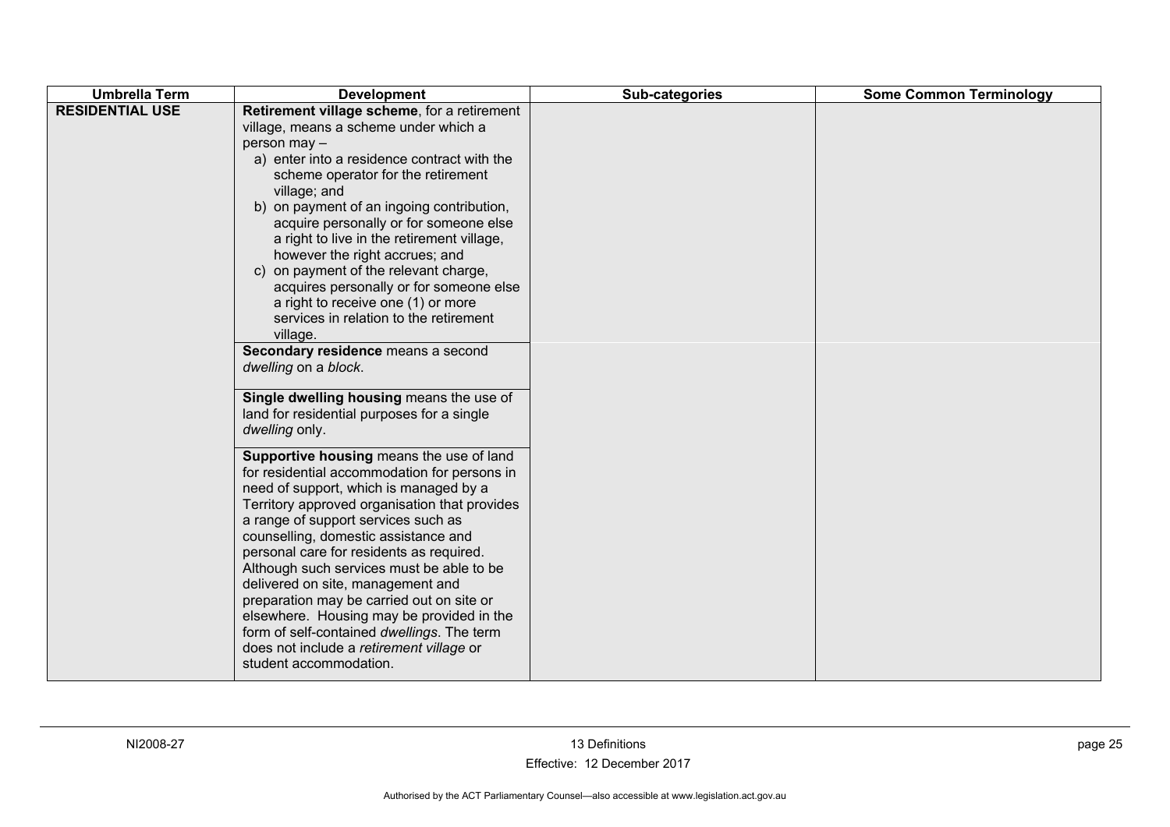| Retirement village scheme, for a retirement<br>village, means a scheme under which a<br>person may -<br>a) enter into a residence contract with the<br>scheme operator for the retirement<br>village; and<br>b) on payment of an ingoing contribution,                                                                                                                                                                                                                                                                                                                                                                                                                                                                                                                                                                                                                                                                                                                                                                                                                                             | <b>Umbrella Term</b>   | <b>Development</b> | Sub-categories | <b>Some Common Terminology</b> |
|----------------------------------------------------------------------------------------------------------------------------------------------------------------------------------------------------------------------------------------------------------------------------------------------------------------------------------------------------------------------------------------------------------------------------------------------------------------------------------------------------------------------------------------------------------------------------------------------------------------------------------------------------------------------------------------------------------------------------------------------------------------------------------------------------------------------------------------------------------------------------------------------------------------------------------------------------------------------------------------------------------------------------------------------------------------------------------------------------|------------------------|--------------------|----------------|--------------------------------|
| acquire personally or for someone else<br>a right to live in the retirement village,<br>however the right accrues; and<br>c) on payment of the relevant charge,<br>acquires personally or for someone else<br>a right to receive one (1) or more<br>services in relation to the retirement<br>village.<br>Secondary residence means a second<br>dwelling on a block.<br>Single dwelling housing means the use of<br>land for residential purposes for a single<br>dwelling only.<br>Supportive housing means the use of land<br>for residential accommodation for persons in<br>need of support, which is managed by a<br>Territory approved organisation that provides<br>a range of support services such as<br>counselling, domestic assistance and<br>personal care for residents as required.<br>Although such services must be able to be<br>delivered on site, management and<br>preparation may be carried out on site or<br>elsewhere. Housing may be provided in the<br>form of self-contained dwellings. The term<br>does not include a retirement village or<br>student accommodation. | <b>RESIDENTIAL USE</b> |                    |                |                                |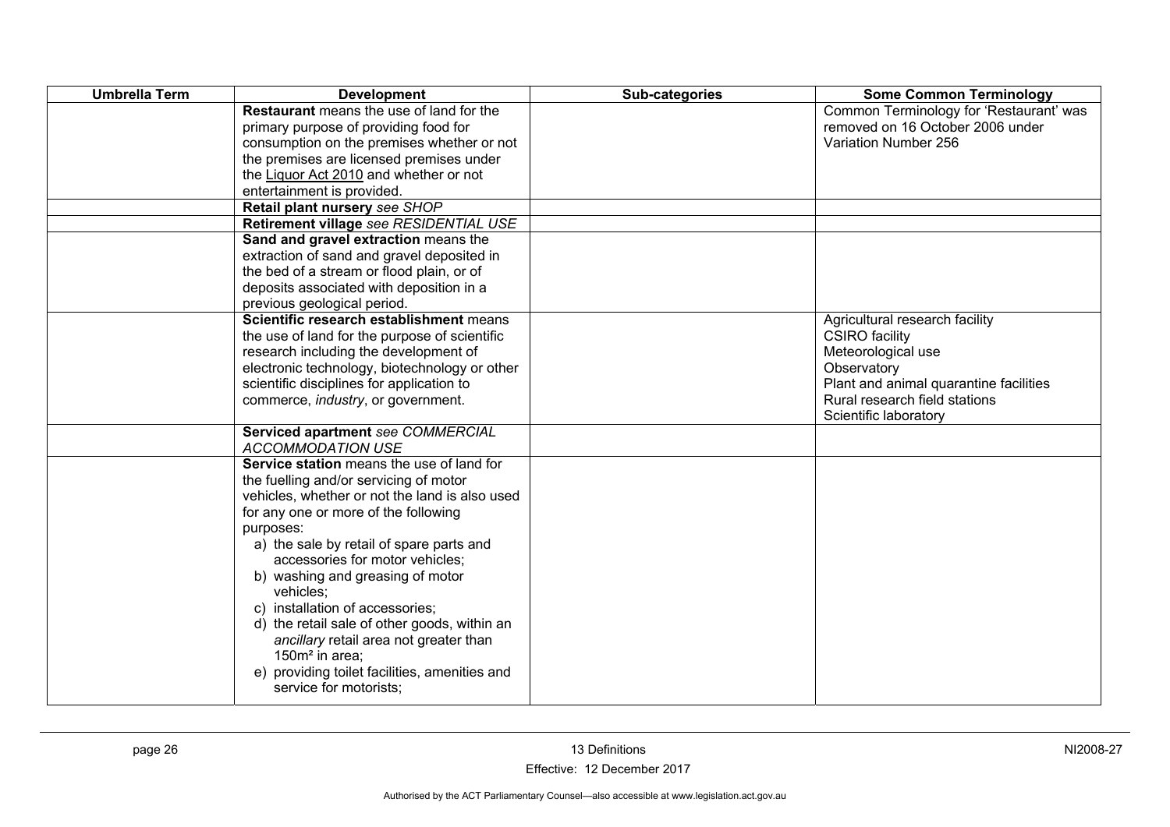| <b>Umbrella Term</b> | <b>Development</b>                                                                                                                                                                                                                                                                                                                                                                                                                                                                                                                                               | Sub-categories | <b>Some Common Terminology</b>                                                                                                                                                                   |
|----------------------|------------------------------------------------------------------------------------------------------------------------------------------------------------------------------------------------------------------------------------------------------------------------------------------------------------------------------------------------------------------------------------------------------------------------------------------------------------------------------------------------------------------------------------------------------------------|----------------|--------------------------------------------------------------------------------------------------------------------------------------------------------------------------------------------------|
|                      | <b>Restaurant</b> means the use of land for the<br>primary purpose of providing food for<br>consumption on the premises whether or not<br>the premises are licensed premises under<br>the Liquor Act 2010 and whether or not<br>entertainment is provided.                                                                                                                                                                                                                                                                                                       |                | Common Terminology for 'Restaurant' was<br>removed on 16 October 2006 under<br>Variation Number 256                                                                                              |
|                      | Retail plant nursery see SHOP                                                                                                                                                                                                                                                                                                                                                                                                                                                                                                                                    |                |                                                                                                                                                                                                  |
|                      | Retirement village see RESIDENTIAL USE<br>Sand and gravel extraction means the<br>extraction of sand and gravel deposited in<br>the bed of a stream or flood plain, or of<br>deposits associated with deposition in a<br>previous geological period.                                                                                                                                                                                                                                                                                                             |                |                                                                                                                                                                                                  |
|                      | Scientific research establishment means<br>the use of land for the purpose of scientific<br>research including the development of<br>electronic technology, biotechnology or other<br>scientific disciplines for application to<br>commerce, <i>industry</i> , or government.                                                                                                                                                                                                                                                                                    |                | Agricultural research facility<br><b>CSIRO</b> facility<br>Meteorological use<br>Observatory<br>Plant and animal quarantine facilities<br>Rural research field stations<br>Scientific laboratory |
|                      | Serviced apartment see COMMERCIAL<br><b>ACCOMMODATION USE</b>                                                                                                                                                                                                                                                                                                                                                                                                                                                                                                    |                |                                                                                                                                                                                                  |
|                      | Service station means the use of land for<br>the fuelling and/or servicing of motor<br>vehicles, whether or not the land is also used<br>for any one or more of the following<br>purposes:<br>a) the sale by retail of spare parts and<br>accessories for motor vehicles;<br>b) washing and greasing of motor<br>vehicles:<br>c) installation of accessories;<br>d) the retail sale of other goods, within an<br>ancillary retail area not greater than<br>150m <sup>2</sup> in area;<br>e) providing toilet facilities, amenities and<br>service for motorists; |                |                                                                                                                                                                                                  |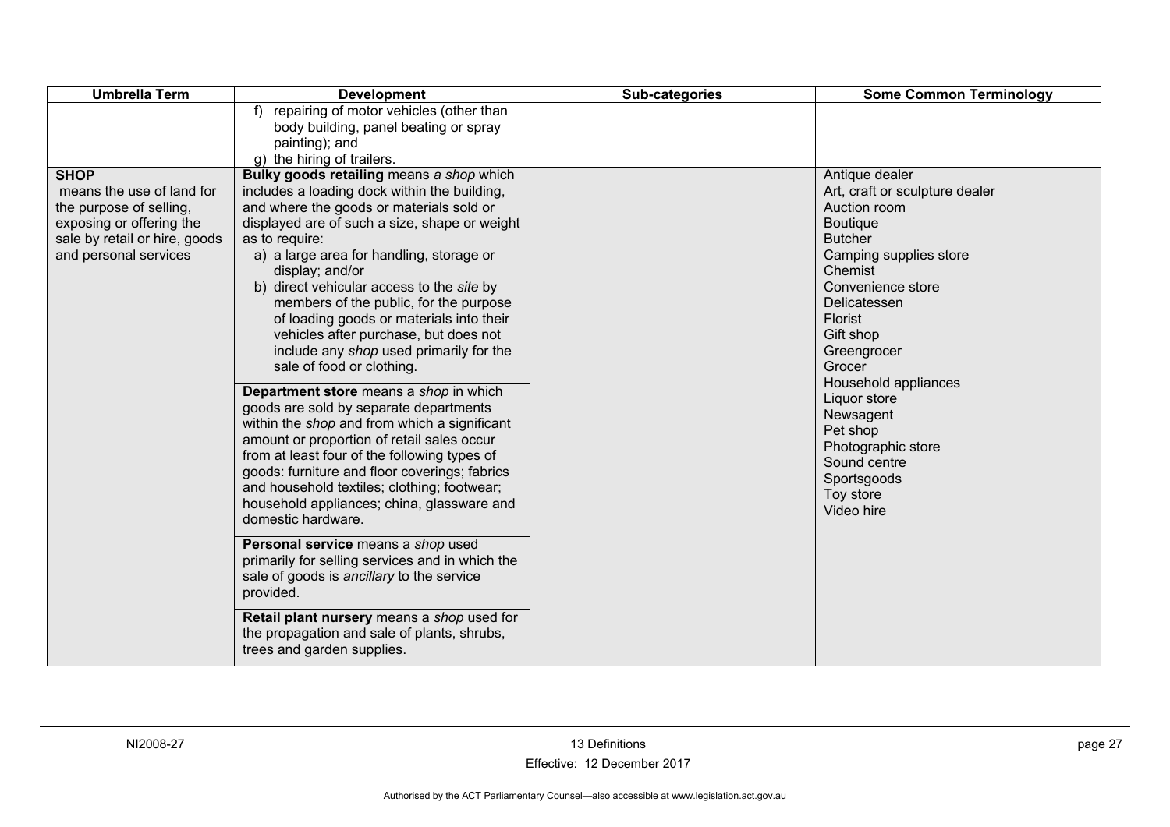| <b>Umbrella Term</b>                                                                                                                                      | <b>Development</b>                                                                                                                                                                                                                                                                                                                                                                                                                                                                                                                                                                                                                                                                                                                                                                                                                                                                                                                                                                                                                                                                                                                                                                                             | Sub-categories | <b>Some Common Terminology</b>                                                                                                                                                                                                                                                                                                                                                           |
|-----------------------------------------------------------------------------------------------------------------------------------------------------------|----------------------------------------------------------------------------------------------------------------------------------------------------------------------------------------------------------------------------------------------------------------------------------------------------------------------------------------------------------------------------------------------------------------------------------------------------------------------------------------------------------------------------------------------------------------------------------------------------------------------------------------------------------------------------------------------------------------------------------------------------------------------------------------------------------------------------------------------------------------------------------------------------------------------------------------------------------------------------------------------------------------------------------------------------------------------------------------------------------------------------------------------------------------------------------------------------------------|----------------|------------------------------------------------------------------------------------------------------------------------------------------------------------------------------------------------------------------------------------------------------------------------------------------------------------------------------------------------------------------------------------------|
|                                                                                                                                                           | f) repairing of motor vehicles (other than<br>body building, panel beating or spray<br>painting); and<br>g) the hiring of trailers.                                                                                                                                                                                                                                                                                                                                                                                                                                                                                                                                                                                                                                                                                                                                                                                                                                                                                                                                                                                                                                                                            |                |                                                                                                                                                                                                                                                                                                                                                                                          |
| <b>SHOP</b><br>means the use of land for<br>the purpose of selling,<br>exposing or offering the<br>sale by retail or hire, goods<br>and personal services | Bulky goods retailing means a shop which<br>includes a loading dock within the building,<br>and where the goods or materials sold or<br>displayed are of such a size, shape or weight<br>as to require:<br>a) a large area for handling, storage or<br>display; and/or<br>b) direct vehicular access to the site by<br>members of the public, for the purpose<br>of loading goods or materials into their<br>vehicles after purchase, but does not<br>include any shop used primarily for the<br>sale of food or clothing.<br>Department store means a shop in which<br>goods are sold by separate departments<br>within the shop and from which a significant<br>amount or proportion of retail sales occur<br>from at least four of the following types of<br>goods: furniture and floor coverings; fabrics<br>and household textiles; clothing; footwear;<br>household appliances; china, glassware and<br>domestic hardware.<br>Personal service means a shop used<br>primarily for selling services and in which the<br>sale of goods is ancillary to the service<br>provided.<br>Retail plant nursery means a shop used for<br>the propagation and sale of plants, shrubs,<br>trees and garden supplies. |                | Antique dealer<br>Art, craft or sculpture dealer<br>Auction room<br><b>Boutique</b><br><b>Butcher</b><br>Camping supplies store<br>Chemist<br>Convenience store<br>Delicatessen<br><b>Florist</b><br>Gift shop<br>Greengrocer<br>Grocer<br>Household appliances<br>Liquor store<br>Newsagent<br>Pet shop<br>Photographic store<br>Sound centre<br>Sportsgoods<br>Toy store<br>Video hire |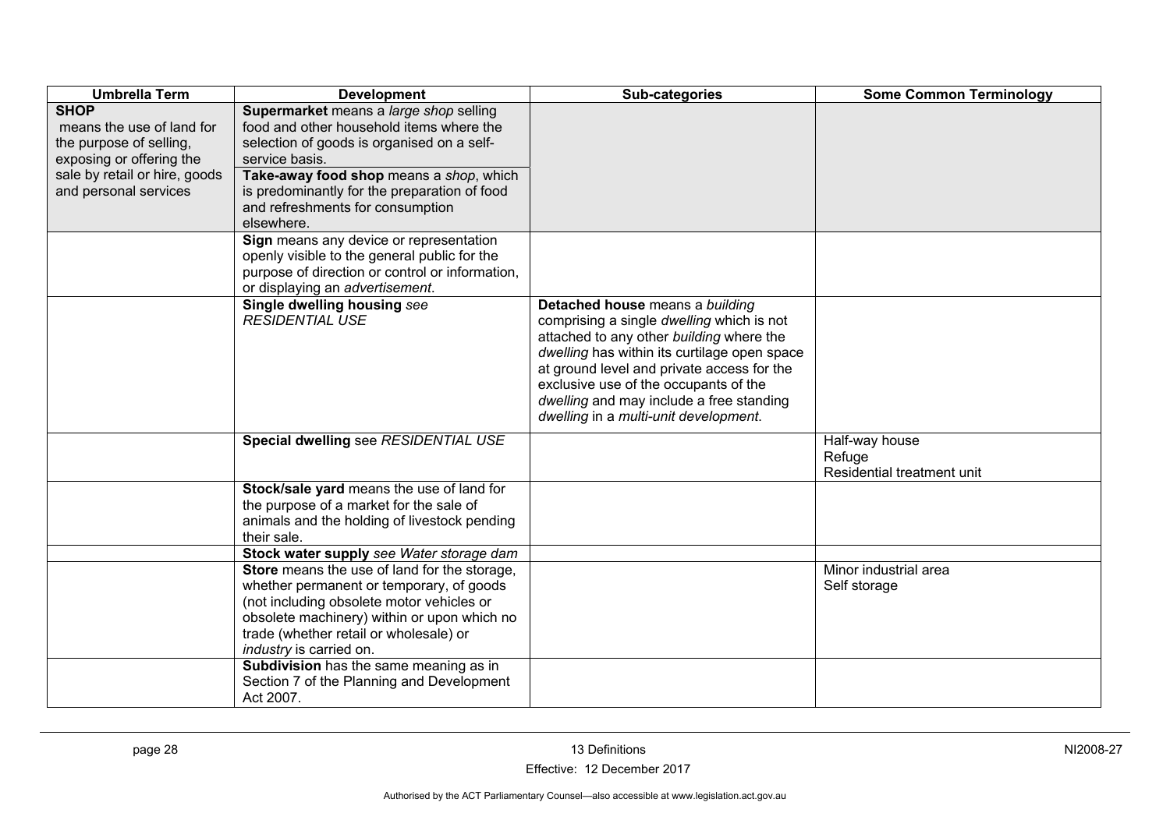| <b>Umbrella Term</b>                                                                                                                                      | <b>Development</b>                                                                                                                                                                                                                                                                                  | Sub-categories                                                                                                                                                                                                                                                                                                                                       | <b>Some Common Terminology</b>                         |
|-----------------------------------------------------------------------------------------------------------------------------------------------------------|-----------------------------------------------------------------------------------------------------------------------------------------------------------------------------------------------------------------------------------------------------------------------------------------------------|------------------------------------------------------------------------------------------------------------------------------------------------------------------------------------------------------------------------------------------------------------------------------------------------------------------------------------------------------|--------------------------------------------------------|
| <b>SHOP</b><br>means the use of land for<br>the purpose of selling,<br>exposing or offering the<br>sale by retail or hire, goods<br>and personal services | Supermarket means a large shop selling<br>food and other household items where the<br>selection of goods is organised on a self-<br>service basis.<br>Take-away food shop means a shop, which<br>is predominantly for the preparation of food<br>and refreshments for consumption<br>elsewhere.     |                                                                                                                                                                                                                                                                                                                                                      |                                                        |
|                                                                                                                                                           | Sign means any device or representation<br>openly visible to the general public for the<br>purpose of direction or control or information,<br>or displaying an advertisement.                                                                                                                       |                                                                                                                                                                                                                                                                                                                                                      |                                                        |
|                                                                                                                                                           | Single dwelling housing see<br><b>RESIDENTIAL USE</b>                                                                                                                                                                                                                                               | Detached house means a building<br>comprising a single dwelling which is not<br>attached to any other building where the<br>dwelling has within its curtilage open space<br>at ground level and private access for the<br>exclusive use of the occupants of the<br>dwelling and may include a free standing<br>dwelling in a multi-unit development. |                                                        |
|                                                                                                                                                           | Special dwelling see RESIDENTIAL USE                                                                                                                                                                                                                                                                |                                                                                                                                                                                                                                                                                                                                                      | Half-way house<br>Refuge<br>Residential treatment unit |
|                                                                                                                                                           | Stock/sale yard means the use of land for<br>the purpose of a market for the sale of<br>animals and the holding of livestock pending<br>their sale.                                                                                                                                                 |                                                                                                                                                                                                                                                                                                                                                      |                                                        |
|                                                                                                                                                           | Stock water supply see Water storage dam                                                                                                                                                                                                                                                            |                                                                                                                                                                                                                                                                                                                                                      |                                                        |
|                                                                                                                                                           | Store means the use of land for the storage,<br>whether permanent or temporary, of goods<br>(not including obsolete motor vehicles or<br>obsolete machinery) within or upon which no<br>trade (whether retail or wholesale) or<br>industry is carried on.<br>Subdivision has the same meaning as in |                                                                                                                                                                                                                                                                                                                                                      | Minor industrial area<br>Self storage                  |
|                                                                                                                                                           | Section 7 of the Planning and Development<br>Act 2007.                                                                                                                                                                                                                                              |                                                                                                                                                                                                                                                                                                                                                      |                                                        |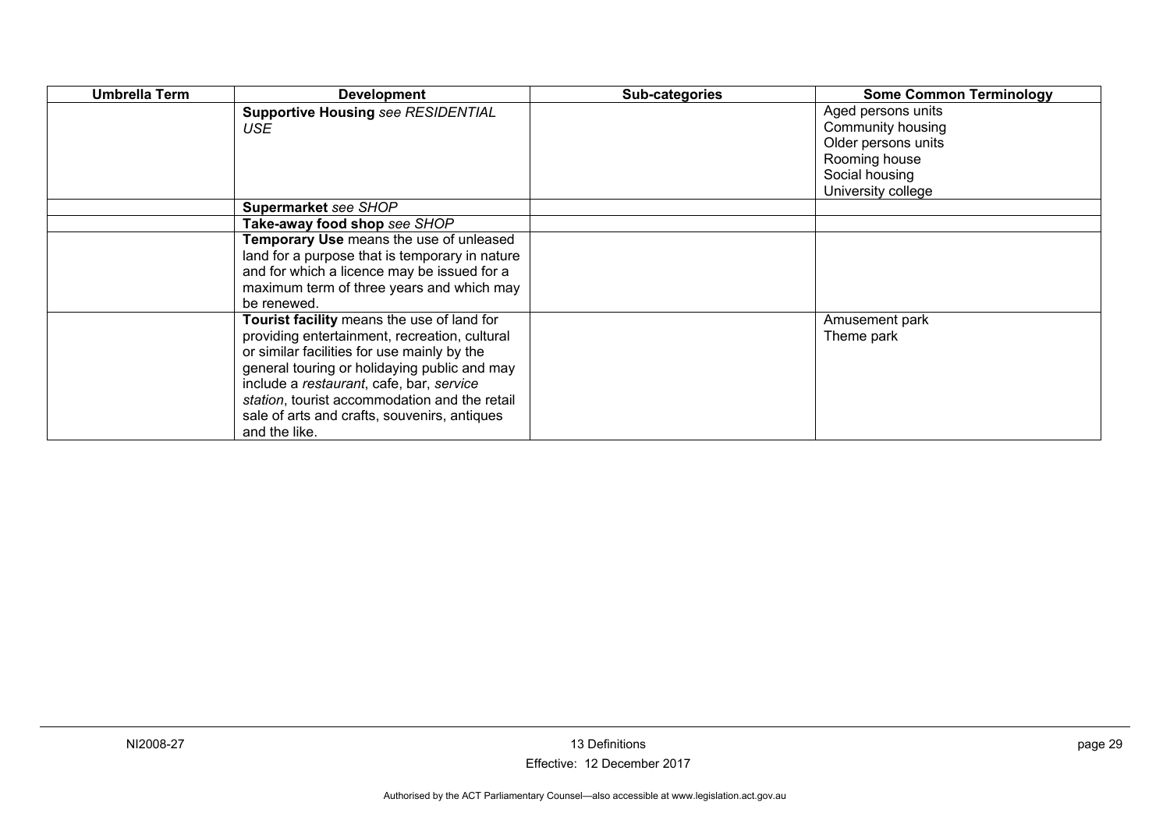| <b>Umbrella Term</b> | <b>Development</b>                                                                                                                                                                                                                                                                                                                                       | Sub-categories | <b>Some Common Terminology</b>                                                                                          |
|----------------------|----------------------------------------------------------------------------------------------------------------------------------------------------------------------------------------------------------------------------------------------------------------------------------------------------------------------------------------------------------|----------------|-------------------------------------------------------------------------------------------------------------------------|
|                      | <b>Supportive Housing see RESIDENTIAL</b><br>USE                                                                                                                                                                                                                                                                                                         |                | Aged persons units<br>Community housing<br>Older persons units<br>Rooming house<br>Social housing<br>University college |
|                      | Supermarket see SHOP                                                                                                                                                                                                                                                                                                                                     |                |                                                                                                                         |
|                      | Take-away food shop see SHOP                                                                                                                                                                                                                                                                                                                             |                |                                                                                                                         |
|                      | Temporary Use means the use of unleased<br>land for a purpose that is temporary in nature<br>and for which a licence may be issued for a<br>maximum term of three years and which may<br>be renewed.                                                                                                                                                     |                |                                                                                                                         |
|                      | Tourist facility means the use of land for<br>providing entertainment, recreation, cultural<br>or similar facilities for use mainly by the<br>general touring or holidaying public and may<br>include a restaurant, cafe, bar, service<br>station, tourist accommodation and the retail<br>sale of arts and crafts, souvenirs, antiques<br>and the like. |                | Amusement park<br>Theme park                                                                                            |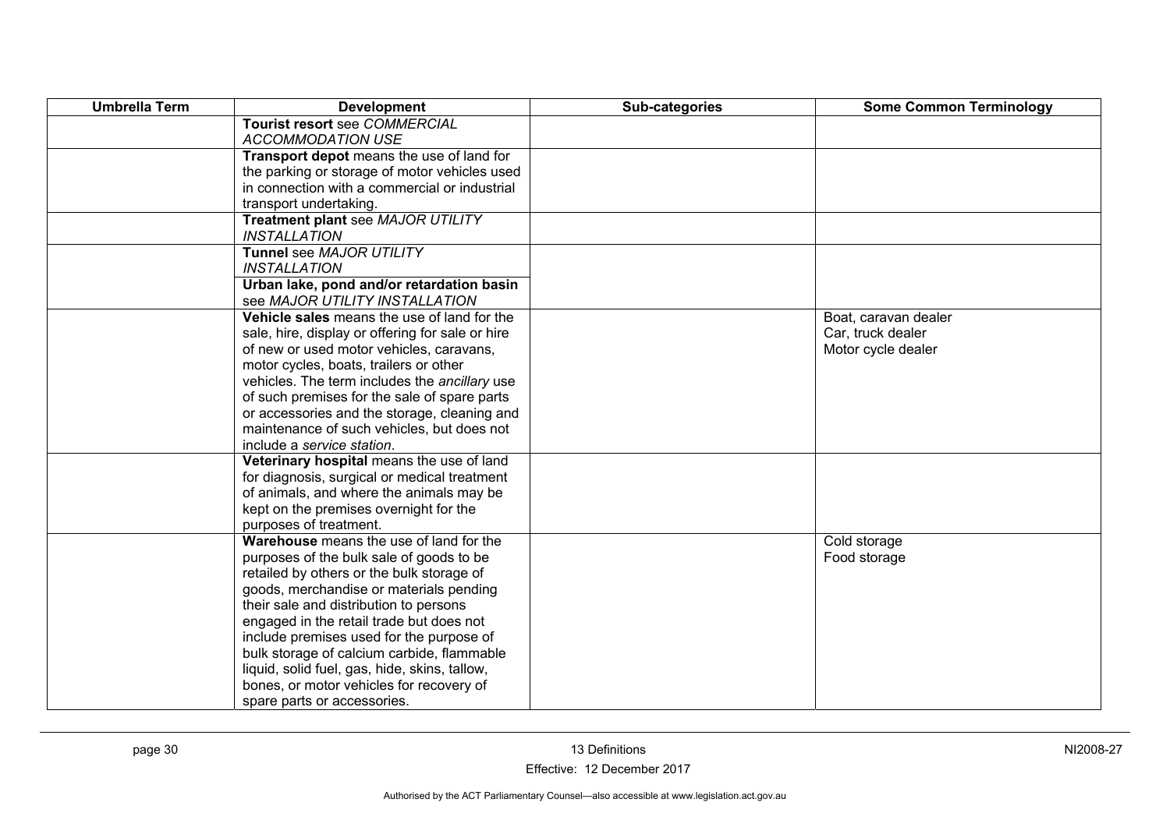| <b>Umbrella Term</b> | <b>Development</b>                                                                              | Sub-categories | <b>Some Common Terminology</b>            |
|----------------------|-------------------------------------------------------------------------------------------------|----------------|-------------------------------------------|
|                      | Tourist resort see COMMERCIAL                                                                   |                |                                           |
|                      | <b>ACCOMMODATION USE</b>                                                                        |                |                                           |
|                      | Transport depot means the use of land for                                                       |                |                                           |
|                      | the parking or storage of motor vehicles used                                                   |                |                                           |
|                      | in connection with a commercial or industrial                                                   |                |                                           |
|                      | transport undertaking.                                                                          |                |                                           |
|                      | Treatment plant see MAJOR UTILITY                                                               |                |                                           |
|                      | <b>INSTALLATION</b>                                                                             |                |                                           |
|                      | Tunnel see MAJOR UTILITY                                                                        |                |                                           |
|                      | <b>INSTALLATION</b>                                                                             |                |                                           |
|                      | Urban lake, pond and/or retardation basin                                                       |                |                                           |
|                      | see MAJOR UTILITY INSTALLATION                                                                  |                |                                           |
|                      | Vehicle sales means the use of land for the<br>sale, hire, display or offering for sale or hire |                | Boat, caravan dealer<br>Car, truck dealer |
|                      | of new or used motor vehicles, caravans,                                                        |                | Motor cycle dealer                        |
|                      | motor cycles, boats, trailers or other                                                          |                |                                           |
|                      | vehicles. The term includes the ancillary use                                                   |                |                                           |
|                      | of such premises for the sale of spare parts                                                    |                |                                           |
|                      | or accessories and the storage, cleaning and                                                    |                |                                           |
|                      | maintenance of such vehicles, but does not                                                      |                |                                           |
|                      | include a service station.                                                                      |                |                                           |
|                      | Veterinary hospital means the use of land                                                       |                |                                           |
|                      | for diagnosis, surgical or medical treatment                                                    |                |                                           |
|                      | of animals, and where the animals may be                                                        |                |                                           |
|                      | kept on the premises overnight for the                                                          |                |                                           |
|                      | purposes of treatment.                                                                          |                |                                           |
|                      | Warehouse means the use of land for the                                                         |                | Cold storage                              |
|                      | purposes of the bulk sale of goods to be                                                        |                | Food storage                              |
|                      | retailed by others or the bulk storage of                                                       |                |                                           |
|                      | goods, merchandise or materials pending                                                         |                |                                           |
|                      | their sale and distribution to persons                                                          |                |                                           |
|                      | engaged in the retail trade but does not                                                        |                |                                           |
|                      | include premises used for the purpose of                                                        |                |                                           |
|                      | bulk storage of calcium carbide, flammable                                                      |                |                                           |
|                      | liquid, solid fuel, gas, hide, skins, tallow,                                                   |                |                                           |
|                      | bones, or motor vehicles for recovery of                                                        |                |                                           |
|                      | spare parts or accessories.                                                                     |                |                                           |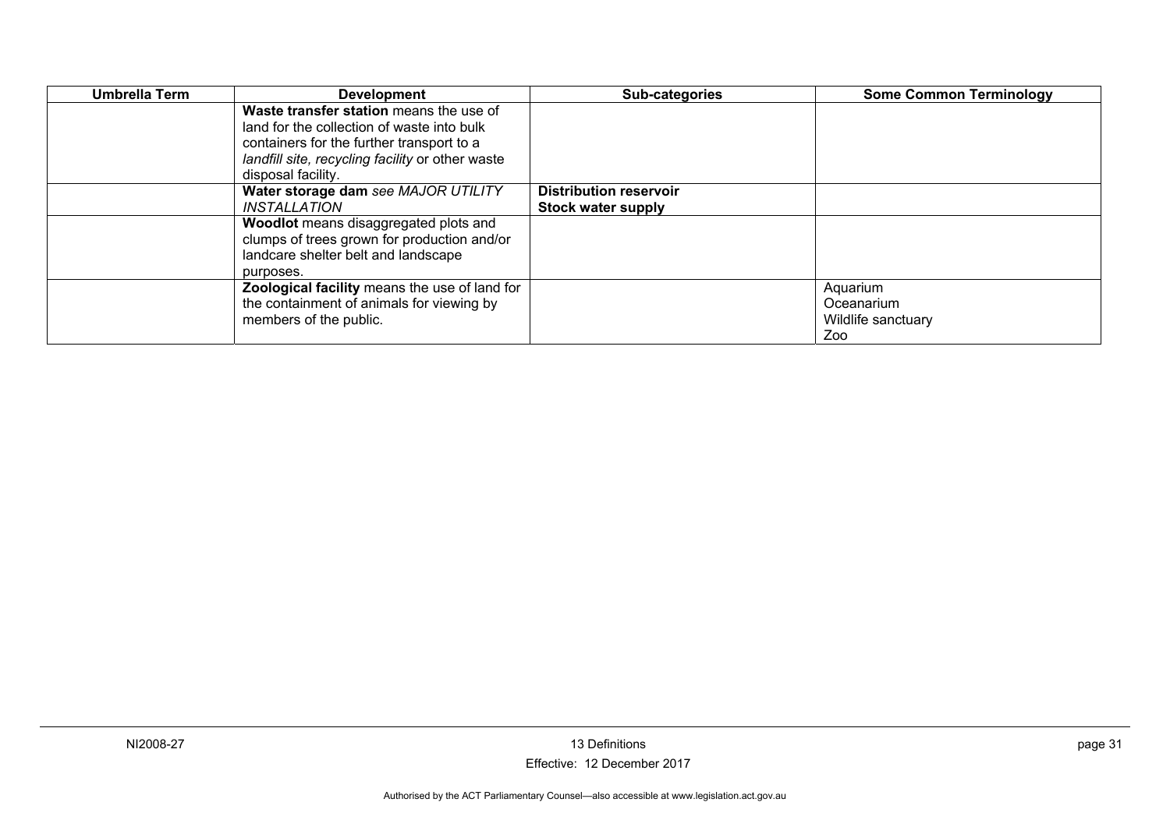| Umbrella Term | <b>Development</b>                                                                                                                                                                     | Sub-categories                                      | <b>Some Common Terminology</b>                      |
|---------------|----------------------------------------------------------------------------------------------------------------------------------------------------------------------------------------|-----------------------------------------------------|-----------------------------------------------------|
|               | Waste transfer station means the use of<br>land for the collection of waste into bulk<br>containers for the further transport to a<br>landfill site, recycling facility or other waste |                                                     |                                                     |
|               | disposal facility.                                                                                                                                                                     |                                                     |                                                     |
|               | Water storage dam see MAJOR UTILITY<br><i><b>INSTALLATION</b></i>                                                                                                                      | <b>Distribution reservoir</b><br>Stock water supply |                                                     |
|               | Woodlot means disaggregated plots and<br>clumps of trees grown for production and/or<br>landcare shelter belt and landscape<br>purposes.                                               |                                                     |                                                     |
|               | Zoological facility means the use of land for<br>the containment of animals for viewing by<br>members of the public.                                                                   |                                                     | Aquarium<br>Oceanarium<br>Wildlife sanctuary<br>Zoo |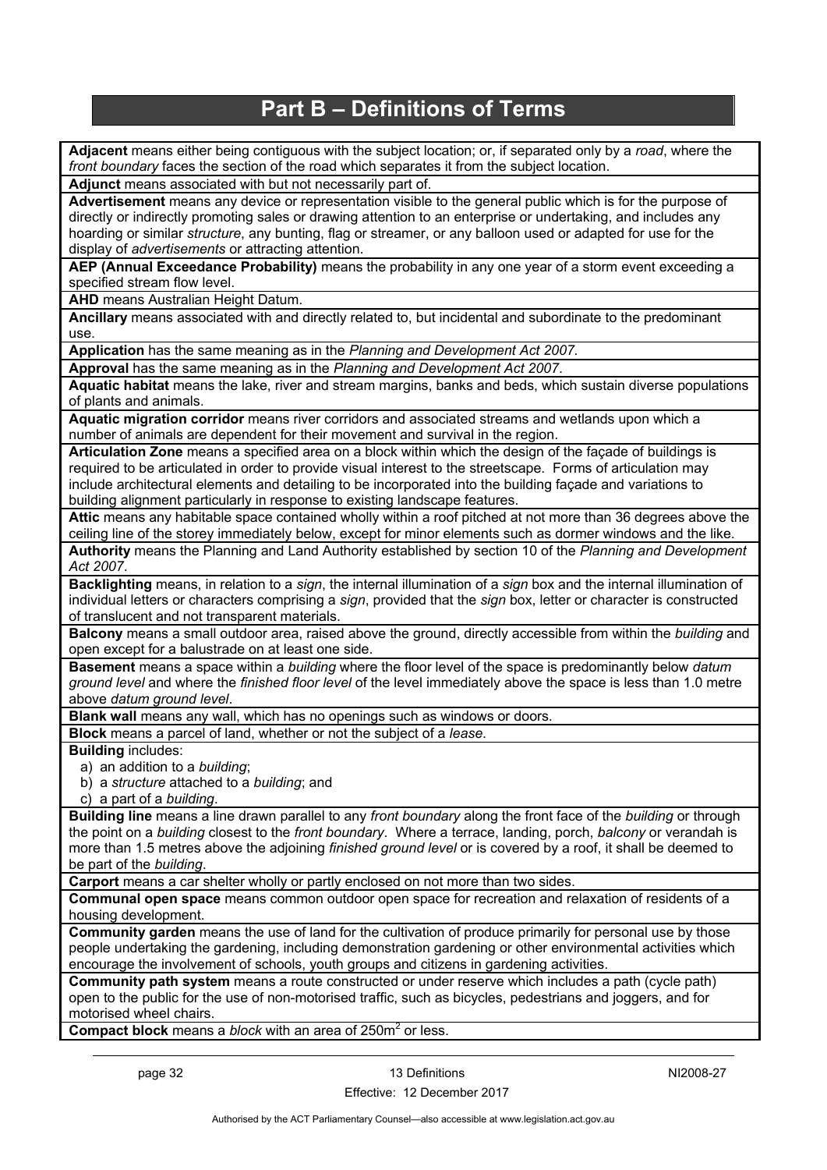## **Part B – Definitions of Terms**

<span id="page-35-0"></span>**Adjacent** means either being contiguous with the subject location; or, if separated only by a *road*, where the *front boundary* faces the section of the road which separates it from the subject location.

**Adjunct** means associated with but not necessarily part of.

**Advertisement** means any device or representation visible to the general public which is for the purpose of directly or indirectly promoting sales or drawing attention to an enterprise or undertaking, and includes any hoarding or similar *structure*, any bunting, flag or streamer, or any balloon used or adapted for use for the display of *advertisements* or attracting attention.

**AEP (Annual Exceedance Probability)** means the probability in any one year of a storm event exceeding a specified stream flow level.

**AHD** means Australian Height Datum.

**Ancillary** means associated with and directly related to, but incidental and subordinate to the predominant use.

**Application** has the same meaning as in the *Planning and Development Act 2007.*

**Approval** has the same meaning as in the *Planning and Development Act 2007*.

**Aquatic habitat** means the lake, river and stream margins, banks and beds, which sustain diverse populations of plants and animals.

**Aquatic migration corridor** means river corridors and associated streams and wetlands upon which a number of animals are dependent for their movement and survival in the region.

**Articulation Zone** means a specified area on a block within which the design of the façade of buildings is required to be articulated in order to provide visual interest to the streetscape. Forms of articulation may include architectural elements and detailing to be incorporated into the building façade and variations to building alignment particularly in response to existing landscape features.

**Attic** means any habitable space contained wholly within a roof pitched at not more than 36 degrees above the ceiling line of the storey immediately below, except for minor elements such as dormer windows and the like. **Authority** means the Planning and Land Authority established by section 10 of the *Planning and Development Act 2007*.

**Backlighting** means, in relation to a *sign*, the internal illumination of a *sign* box and the internal illumination of individual letters or characters comprising a *sign*, provided that the *sign* box, letter or character is constructed of translucent and not transparent materials.

**Balcony** means a small outdoor area, raised above the ground, directly accessible from within the *building* and open except for a balustrade on at least one side.

**Basement** means a space within a *building* where the floor level of the space is predominantly below *datum ground level* and where the *finished floor level* of the level immediately above the space is less than 1.0 metre above *datum ground level*.

**Blank wall** means any wall, which has no openings such as windows or doors.

**Block** means a parcel of land, whether or not the subject of a *lease*.

#### **Building** includes:

a) an addition to a *building*;

b) a *structure* attached to a *building*; and

c) a part of a *building*.

**Building line** means a line drawn parallel to any *front boundary* along the front face of the *building* or through the point on a *building* closest to the *front boundary*. Where a terrace, landing, porch, *balcony* or verandah is more than 1.5 metres above the adjoining *finished ground level* or is covered by a roof, it shall be deemed to be part of the *building*.

**Carport** means a car shelter wholly or partly enclosed on not more than two sides.

**Communal open space** means common outdoor open space for recreation and relaxation of residents of a housing development.

**Community garden** means the use of land for the cultivation of produce primarily for personal use by those people undertaking the gardening, including demonstration gardening or other environmental activities which encourage the involvement of schools, youth groups and citizens in gardening activities.

**Community path system** means a route constructed or under reserve which includes a path (cycle path) open to the public for the use of non-motorised traffic, such as bicycles, pedestrians and joggers, and for motorised wheel chairs.

**Compact block** means a *block* with an area of 250m<sup>2</sup> or less.

NI2008-27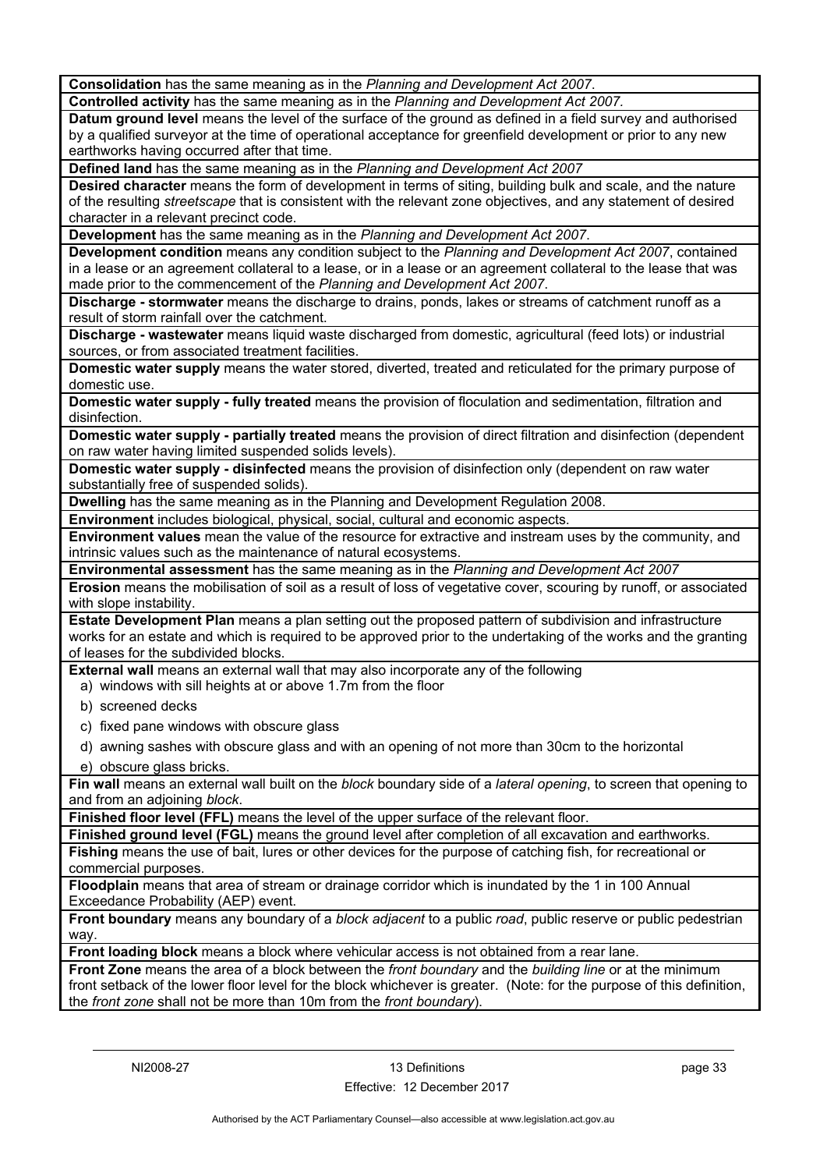**Consolidation** has the same meaning as in the *Planning and Development Act 2007*.

**Controlled activity** has the same meaning as in the *Planning and Development Act 2007.*

**Datum ground level** means the level of the surface of the ground as defined in a field survey and authorised by a qualified surveyor at the time of operational acceptance for greenfield development or prior to any new earthworks having occurred after that time.

**Defined land** has the same meaning as in the *Planning and Development Act 2007*

**Desired character** means the form of development in terms of siting, building bulk and scale, and the nature of the resulting *streetscape* that is consistent with the relevant zone objectives, and any statement of desired character in a relevant precinct code.

**Development** has the same meaning as in the *Planning and Development Act 2007*.

**Development condition** means any condition subject to the *Planning and Development Act 2007*, contained in a lease or an agreement collateral to a lease, or in a lease or an agreement collateral to the lease that was made prior to the commencement of the *Planning and Development Act 2007*.

**Discharge - stormwater** means the discharge to drains, ponds, lakes or streams of catchment runoff as a result of storm rainfall over the catchment.

**Discharge - wastewater** means liquid waste discharged from domestic, agricultural (feed lots) or industrial sources, or from associated treatment facilities.

**Domestic water supply** means the water stored, diverted, treated and reticulated for the primary purpose of domestic use.

**Domestic water supply - fully treated** means the provision of floculation and sedimentation, filtration and disinfection.

**Domestic water supply - partially treated** means the provision of direct filtration and disinfection (dependent on raw water having limited suspended solids levels).

**Domestic water supply - disinfected** means the provision of disinfection only (dependent on raw water substantially free of suspended solids).

**Dwelling** has the same meaning as in the Planning and Development Regulation 2008.

**Environment** includes biological, physical, social, cultural and economic aspects.

**Environment values** mean the value of the resource for extractive and instream uses by the community, and intrinsic values such as the maintenance of natural ecosystems.

**Environmental assessment** has the same meaning as in the *Planning and Development Act 2007*

**Erosion** means the mobilisation of soil as a result of loss of vegetative cover, scouring by runoff, or associated with slope instability.

**Estate Development Plan** means a plan setting out the proposed pattern of subdivision and infrastructure works for an estate and which is required to be approved prior to the undertaking of the works and the granting of leases for the subdivided blocks.

**External wall** means an external wall that may also incorporate any of the following

a) windows with sill heights at or above 1.7m from the floor

- b) screened decks
- c) fixed pane windows with obscure glass
- d) awning sashes with obscure glass and with an opening of not more than 30cm to the horizontal
- e) obscure glass bricks.

**Fin wall** means an external wall built on the *block* boundary side of a *lateral opening*, to screen that opening to and from an adjoining *block*.

**Finished floor level (FFL)** means the level of the upper surface of the relevant floor.

**Finished ground level (FGL)** means the ground level after completion of all excavation and earthworks.

**Fishing** means the use of bait, lures or other devices for the purpose of catching fish, for recreational or commercial purposes.

**Floodplain** means that area of stream or drainage corridor which is inundated by the 1 in 100 Annual Exceedance Probability (AEP) event.

**Front boundary** means any boundary of a *block adjacent* to a public *road*, public reserve or public pedestrian way.

**Front loading block** means a block where vehicular access is not obtained from a rear lane.

**Front Zone** means the area of a block between the *front boundary* and the *building line* or at the minimum front setback of the lower floor level for the block whichever is greater. (Note: for the purpose of this definition, the *front zone* shall not be more than 10m from the *front boundary*).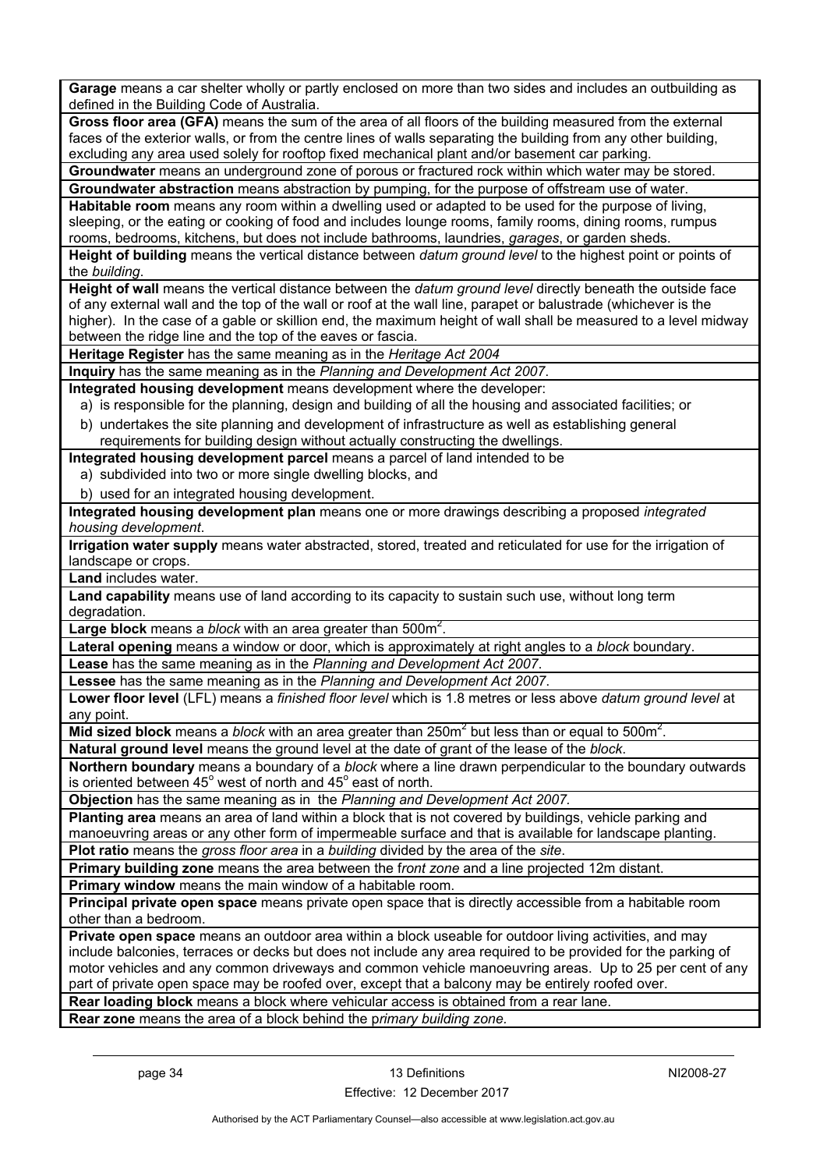**Garage** means a car shelter wholly or partly enclosed on more than two sides and includes an outbuilding as defined in the Building Code of Australia.

**Gross floor area (GFA)** means the sum of the area of all floors of the building measured from the external faces of the exterior walls, or from the centre lines of walls separating the building from any other building, excluding any area used solely for rooftop fixed mechanical plant and/or basement car parking.

**Groundwater** means an underground zone of porous or fractured rock within which water may be stored. **Groundwater abstraction** means abstraction by pumping, for the purpose of offstream use of water.

**Habitable room** means any room within a dwelling used or adapted to be used for the purpose of living, sleeping, or the eating or cooking of food and includes lounge rooms, family rooms, dining rooms, rumpus rooms, bedrooms, kitchens, but does not include bathrooms, laundries, *garages*, or garden sheds.

**Height of building** means the vertical distance between *datum ground level* to the highest point or points of the *building*.

**Height of wall** means the vertical distance between the *datum ground level* directly beneath the outside face of any external wall and the top of the wall or roof at the wall line, parapet or balustrade (whichever is the higher). In the case of a gable or skillion end, the maximum height of wall shall be measured to a level midway between the ridge line and the top of the eaves or fascia.

**Heritage Register** has the same meaning as in the *Heritage Act 2004*

**Inquiry** has the same meaning as in the *Planning and Development Act 2007*.

**Integrated housing development** means development where the developer:

a) is responsible for the planning, design and building of all the housing and associated facilities; or

b) undertakes the site planning and development of infrastructure as well as establishing general requirements for building design without actually constructing the dwellings.

**Integrated housing development parcel** means a parcel of land intended to be

- a) subdivided into two or more single dwelling blocks, and
- b) used for an integrated housing development.

**Integrated housing development plan** means one or more drawings describing a proposed *integrated housing development*.

**Irrigation water supply** means water abstracted, stored, treated and reticulated for use for the irrigation of landscape or crops.

**Land** includes water.

**Land capability** means use of land according to its capacity to sustain such use, without long term degradation

Large block means a *block* with an area greater than 500m<sup>2</sup>.

**Lateral opening** means a window or door, which is approximately at right angles to a *block* boundary.

**Lease** has the same meaning as in the *Planning and Development Act 2007*.

**Lessee** has the same meaning as in the *Planning and Development Act 2007*.

**Lower floor level** (LFL) means a *finished floor level* which is 1.8 metres or less above *datum ground level* at any point.

Mid sized block means a *block* with an area greater than 250m<sup>2</sup> but less than or equal to 500m<sup>2</sup>.

**Natural ground level** means the ground level at the date of grant of the lease of the *block*. **Northern boundary** means a boundary of a *block* where a line drawn perpendicular to the boundary outwards

is oriented between 45 $^{\circ}$  west of north and 45 $^{\circ}$  east of north.

**Objection** has the same meaning as in the *Planning and Development Act 2007.*

**Planting area** means an area of land within a block that is not covered by buildings, vehicle parking and manoeuvring areas or any other form of impermeable surface and that is available for landscape planting.

**Plot ratio** means the *gross floor area* in a *building* divided by the area of the *site*.

**Primary building zone** means the area between the f*ront zone* and a line projected 12m distant.

**Primary window** means the main window of a habitable room.

**Principal private open space** means private open space that is directly accessible from a habitable room other than a bedroom.

**Private open space** means an outdoor area within a block useable for outdoor living activities, and may include balconies, terraces or decks but does not include any area required to be provided for the parking of motor vehicles and any common driveways and common vehicle manoeuvring areas. Up to 25 per cent of any part of private open space may be roofed over, except that a balcony may be entirely roofed over.

**Rear loading block** means a block where vehicular access is obtained from a rear lane.

**Rear zone** means the area of a block behind the p*rimary building zone.*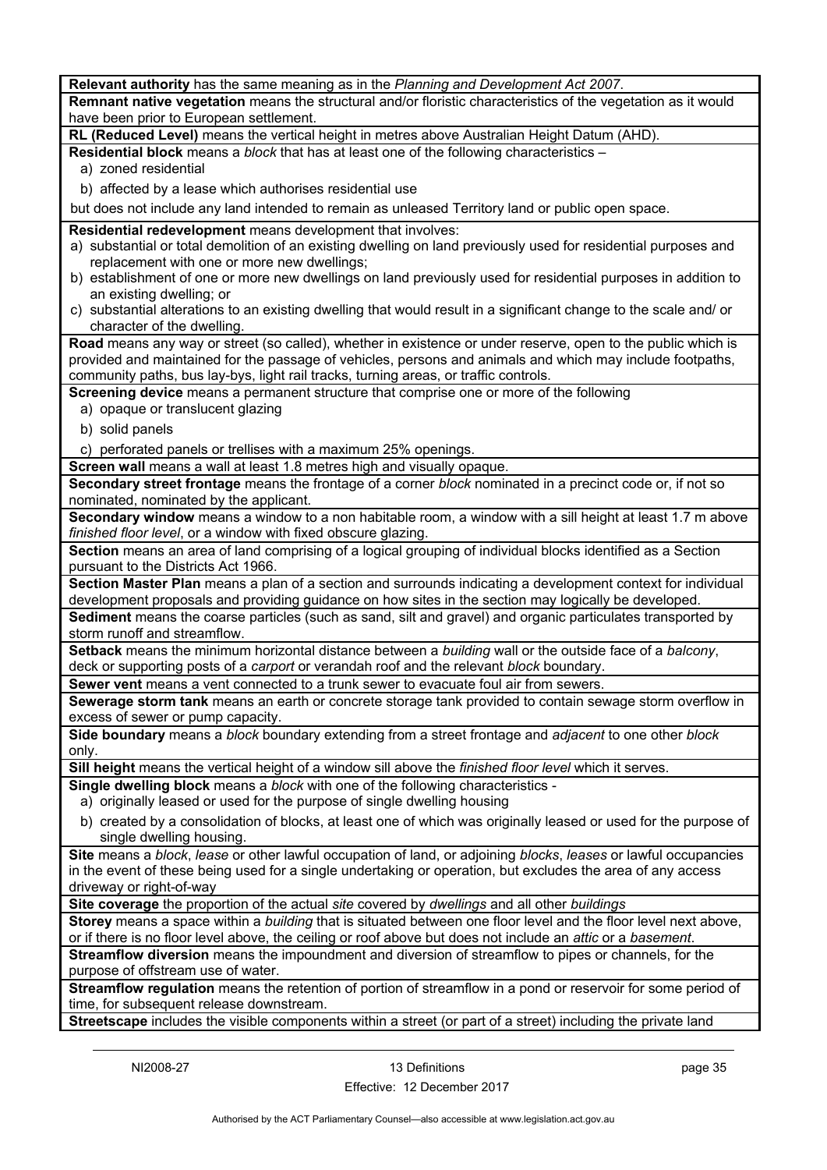**Relevant authority** has the same meaning as in the *Planning and Development Act 2007*. **Remnant native vegetation** means the structural and/or floristic characteristics of the vegetation as it would have been prior to European settlement. **RL (Reduced Level)** means the vertical height in metres above Australian Height Datum (AHD). **Residential block** means a *block* that has at least one of the following characteristics – a) zoned residential b) affected by a lease which authorises residential use but does not include any land intended to remain as unleased Territory land or public open space. **Residential redevelopment** means development that involves: a) substantial or total demolition of an existing dwelling on land previously used for residential purposes and replacement with one or more new dwellings; b) establishment of one or more new dwellings on land previously used for residential purposes in addition to an existing dwelling; or c) substantial alterations to an existing dwelling that would result in a significant change to the scale and/ or character of the dwelling. **Road** means any way or street (so called), whether in existence or under reserve, open to the public which is provided and maintained for the passage of vehicles, persons and animals and which may include footpaths, community paths, bus lay-bys, light rail tracks, turning areas, or traffic controls. **Screening device** means a permanent structure that comprise one or more of the following a) opaque or translucent glazing b) solid panels c) perforated panels or trellises with a maximum 25% openings. **Screen wall** means a wall at least 1.8 metres high and visually opaque. **Secondary street frontage** means the frontage of a corner *block* nominated in a precinct code or, if not so nominated, nominated by the applicant. **Secondary window** means a window to a non habitable room, a window with a sill height at least 1.7 m above *finished floor level*, or a window with fixed obscure glazing. **Section** means an area of land comprising of a logical grouping of individual blocks identified as a Section pursuant to the Districts Act 1966. **Section Master Plan** means a plan of a section and surrounds indicating a development context for individual development proposals and providing guidance on how sites in the section may logically be developed. **Sediment** means the coarse particles (such as sand, silt and gravel) and organic particulates transported by storm runoff and streamflow. **Setback** means the minimum horizontal distance between a *building* wall or the outside face of a *balcony*, deck or supporting posts of a *carport* or verandah roof and the relevant *block* boundary. **Sewer vent** means a vent connected to a trunk sewer to evacuate foul air from sewers. **Sewerage storm tank** means an earth or concrete storage tank provided to contain sewage storm overflow in excess of sewer or pump capacity. **Side boundary** means a *block* boundary extending from a street frontage and *adjacent* to one other *block* only. **Sill height** means the vertical height of a window sill above the *finished floor level* which it serves. **Single dwelling block** means a *block* with one of the following characteristics a) originally leased or used for the purpose of single dwelling housing b) created by a consolidation of blocks, at least one of which was originally leased or used for the purpose of single dwelling housing. **Site** means a *block*, *lease* or other lawful occupation of land, or adjoining *blocks*, *leases* or lawful occupancies in the event of these being used for a single undertaking or operation, but excludes the area of any access driveway or right-of-way **Site coverage** the proportion of the actual *site* covered by *dwellings* and all other *buildings* **Storey** means a space within a *building* that is situated between one floor level and the floor level next above, or if there is no floor level above, the ceiling or roof above but does not include an *attic* or a *basement*. **Streamflow diversion** means the impoundment and diversion of streamflow to pipes or channels, for the purpose of offstream use of water. **Streamflow regulation** means the retention of portion of streamflow in a pond or reservoir for some period of time, for subsequent release downstream. **Streetscape** includes the visible components within a street (or part of a street) including the private land